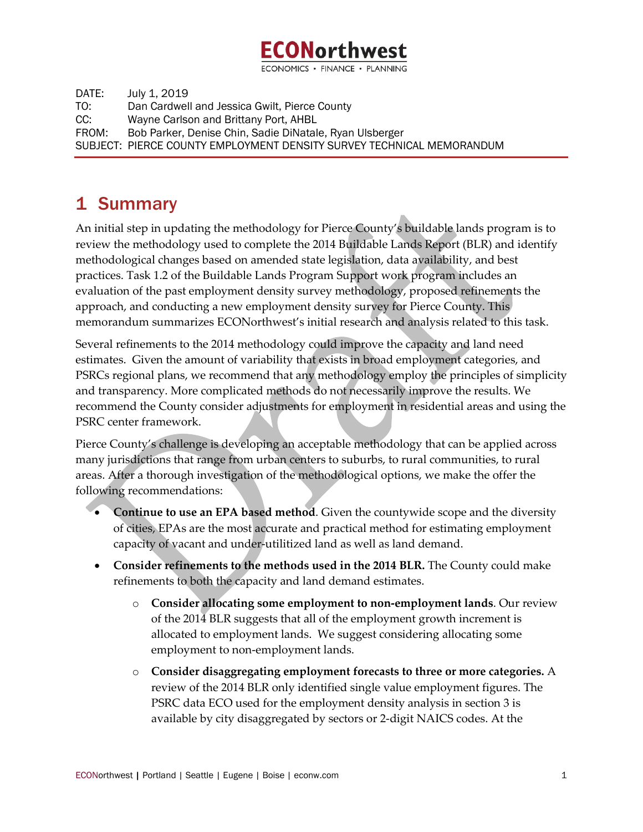

ECONOMICS · FINANCE · PLANNING

DATE: July 1, 2019 TO: Dan Cardwell and Jessica Gwilt, Pierce County CC: Wayne Carlson and Brittany Port, AHBL FROM: Bob Parker, Denise Chin, Sadie DiNatale, Ryan Ulsberger SUBJECT: PIERCE COUNTY EMPLOYMENT DENSITY SURVEY TECHNICAL MEMORANDUM

# 1 Summary

An initial step in updating the methodology for Pierce County's buildable lands program is to review the methodology used to complete the 2014 Buildable Lands Report (BLR) and identify methodological changes based on amended state legislation, data availability, and best practices. Task 1.2 of the Buildable Lands Program Support work program includes an evaluation of the past employment density survey methodology, proposed refinements the approach, and conducting a new employment density survey for Pierce County. This memorandum summarizes ECONorthwest's initial research and analysis related to this task.

Several refinements to the 2014 methodology could improve the capacity and land need estimates. Given the amount of variability that exists in broad employment categories, and PSRCs regional plans, we recommend that any methodology employ the principles of simplicity and transparency. More complicated methods do not necessarily improve the results. We recommend the County consider adjustments for employment in residential areas and using the PSRC center framework.

Pierce County's challenge is developing an acceptable methodology that can be applied across many jurisdictions that range from urban centers to suburbs, to rural communities, to rural areas. After a thorough investigation of the methodological options, we make the offer the following recommendations:

- **Continue to use an EPA based method**. Given the countywide scope and the diversity of cities, EPAs are the most accurate and practical method for estimating employment capacity of vacant and under-utilitized land as well as land demand.
	- **Consider refinements to the methods used in the 2014 BLR.** The County could make refinements to both the capacity and land demand estimates.
		- o **Consider allocating some employment to non-employment lands**. Our review of the 2014 BLR suggests that all of the employment growth increment is allocated to employment lands. We suggest considering allocating some employment to non-employment lands.
		- o **Consider disaggregating employment forecasts to three or more categories.** A review of the 2014 BLR only identified single value employment figures. The PSRC data ECO used for the employment density analysis in section 3 is available by city disaggregated by sectors or 2-digit NAICS codes. At the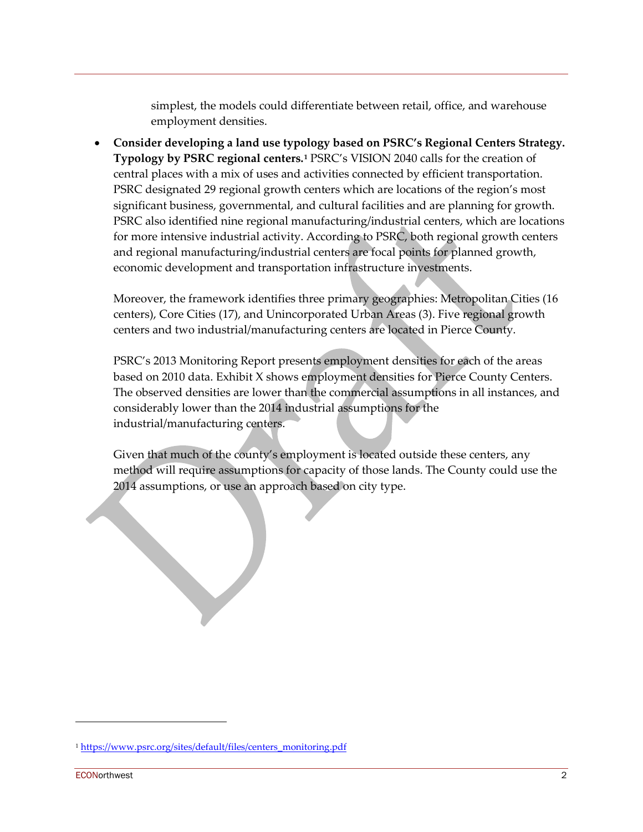simplest, the models could differentiate between retail, office, and warehouse employment densities.

• **Consider developing a land use typology based on PSRC's Regional Centers Strategy. Typology by PSRC regional centers.[1](#page-1-0)** PSRC's VISION 2040 calls for the creation of central places with a mix of uses and activities connected by efficient transportation. PSRC designated 29 regional growth centers which are locations of the region's most significant business, governmental, and cultural facilities and are planning for growth. PSRC also identified nine regional manufacturing/industrial centers, which are locations for more intensive industrial activity. According to PSRC, both regional growth centers and regional manufacturing/industrial centers are focal points for planned growth, economic development and transportation infrastructure investments.

Moreover, the framework identifies three primary geographies: Metropolitan Cities (16 centers), Core Cities (17), and Unincorporated Urban Areas (3). Five regional growth centers and two industrial/manufacturing centers are located in Pierce County.

PSRC's 2013 Monitoring Report presents employment densities for each of the areas based on 2010 data. Exhibit X shows employment densities for Pierce County Centers. The observed densities are lower than the commercial assumptions in all instances, and considerably lower than the 2014 industrial assumptions for the industrial/manufacturing centers.

Given that much of the county's employment is located outside these centers, any method will require assumptions for capacity of those lands. The County could use the 2014 assumptions, or use an approach based on city type.

<span id="page-1-0"></span><sup>&</sup>lt;sup>1</sup> [https://www.psrc.org/sites/default/files/centers\\_monitoring.pdf](https://www.psrc.org/sites/default/files/centers_monitoring.pdf)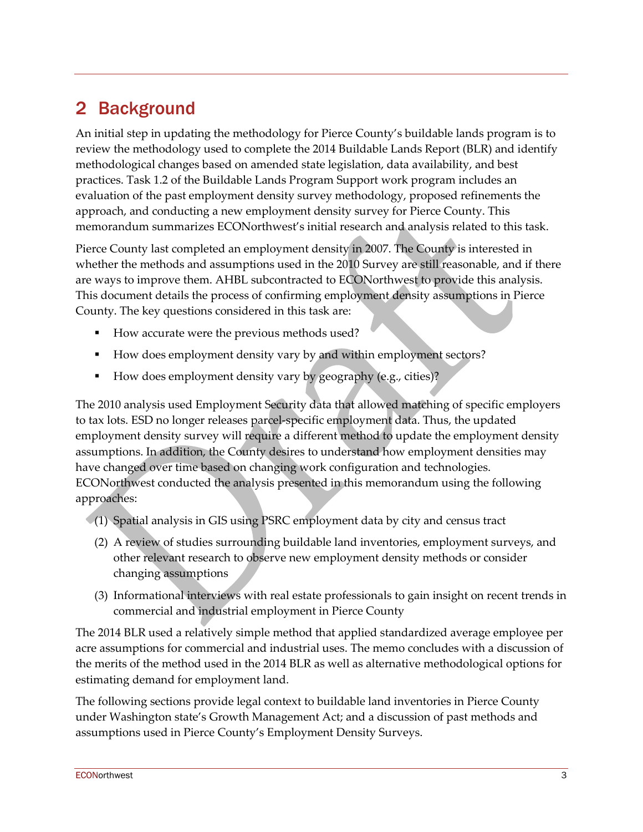# 2 Background

An initial step in updating the methodology for Pierce County's buildable lands program is to review the methodology used to complete the 2014 Buildable Lands Report (BLR) and identify methodological changes based on amended state legislation, data availability, and best practices. Task 1.2 of the Buildable Lands Program Support work program includes an evaluation of the past employment density survey methodology, proposed refinements the approach, and conducting a new employment density survey for Pierce County. This memorandum summarizes ECONorthwest's initial research and analysis related to this task.

Pierce County last completed an employment density in 2007. The County is interested in whether the methods and assumptions used in the 2010 Survey are still reasonable, and if there are ways to improve them. AHBL subcontracted to ECONorthwest to provide this analysis. This document details the process of confirming employment density assumptions in Pierce County. The key questions considered in this task are:

- How accurate were the previous methods used?
- How does employment density vary by and within employment sectors?
- How does employment density vary by geography (e.g., cities)?

The 2010 analysis used Employment Security data that allowed matching of specific employers to tax lots. ESD no longer releases parcel-specific employment data. Thus, the updated employment density survey will require a different method to update the employment density assumptions. In addition, the County desires to understand how employment densities may have changed over time based on changing work configuration and technologies. ECONorthwest conducted the analysis presented in this memorandum using the following approaches:

- (1) Spatial analysis in GIS using PSRC employment data by city and census tract
	- (2) A review of studies surrounding buildable land inventories, employment surveys, and other relevant research to observe new employment density methods or consider changing assumptions
	- (3) Informational interviews with real estate professionals to gain insight on recent trends in commercial and industrial employment in Pierce County

The 2014 BLR used a relatively simple method that applied standardized average employee per acre assumptions for commercial and industrial uses. The memo concludes with a discussion of the merits of the method used in the 2014 BLR as well as alternative methodological options for estimating demand for employment land.

The following sections provide legal context to buildable land inventories in Pierce County under Washington state's Growth Management Act; and a discussion of past methods and assumptions used in Pierce County's Employment Density Surveys.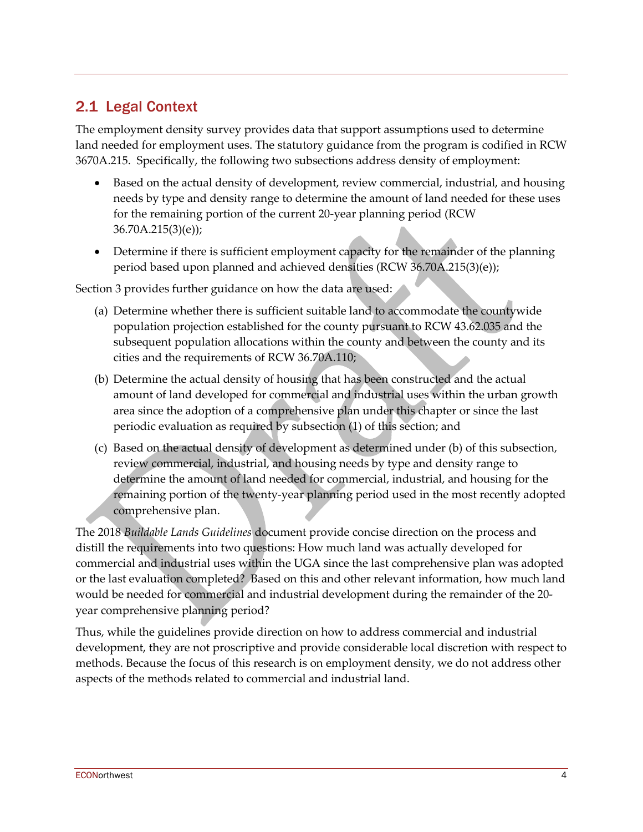# 2.1 Legal Context

The employment density survey provides data that support assumptions used to determine land needed for employment uses. The statutory guidance from the program is codified in RCW 3670A.215. Specifically, the following two subsections address density of employment:

- Based on the actual density of development, review commercial, industrial, and housing needs by type and density range to determine the amount of land needed for these uses for the remaining portion of the current 20-year planning period (RCW 36.70A.215(3)(e));
- Determine if there is sufficient employment capacity for the remainder of the planning period based upon planned and achieved densities (RCW 36.70A.215(3)(e));

Section 3 provides further guidance on how the data are used:

- (a) Determine whether there is sufficient suitable land to accommodate the countywide population projection established for the county pursuant to RCW 43.62.035 and the subsequent population allocations within the county and between the county and its cities and the requirements of RCW 36.70A.110;
- (b) Determine the actual density of housing that has been constructed and the actual amount of land developed for commercial and industrial uses within the urban growth area since the adoption of a comprehensive plan under this chapter or since the last periodic evaluation as required by subsection (1) of this section; and
- (c) Based on the actual density of development as determined under (b) of this subsection, review commercial, industrial, and housing needs by type and density range to determine the amount of land needed for commercial, industrial, and housing for the remaining portion of the twenty-year planning period used in the most recently adopted comprehensive plan.

The 2018 *Buildable Lands Guidelines* document provide concise direction on the process and distill the requirements into two questions: How much land was actually developed for commercial and industrial uses within the UGA since the last comprehensive plan was adopted or the last evaluation completed? Based on this and other relevant information, how much land would be needed for commercial and industrial development during the remainder of the 20 year comprehensive planning period?

Thus, while the guidelines provide direction on how to address commercial and industrial development, they are not proscriptive and provide considerable local discretion with respect to methods. Because the focus of this research is on employment density, we do not address other aspects of the methods related to commercial and industrial land.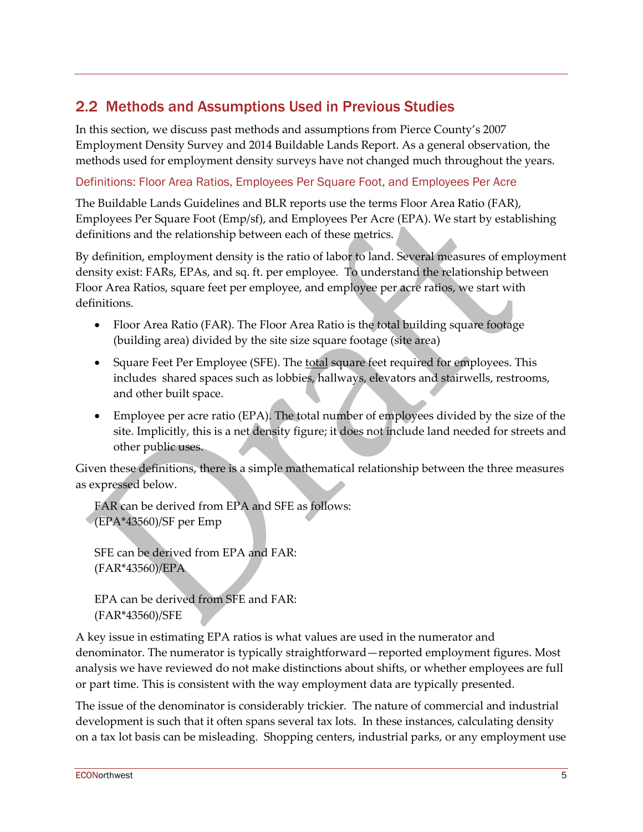# 2.2 Methods and Assumptions Used in Previous Studies

In this section, we discuss past methods and assumptions from Pierce County's 2007 Employment Density Survey and 2014 Buildable Lands Report. As a general observation, the methods used for employment density surveys have not changed much throughout the years.

### Definitions: Floor Area Ratios, Employees Per Square Foot, and Employees Per Acre

The Buildable Lands Guidelines and BLR reports use the terms Floor Area Ratio (FAR), Employees Per Square Foot (Emp/sf), and Employees Per Acre (EPA). We start by establishing definitions and the relationship between each of these metrics.

By definition, employment density is the ratio of labor to land. Several measures of employment density exist: FARs, EPAs, and sq. ft. per employee. To understand the relationship between Floor Area Ratios, square feet per employee, and employee per acre ratios, we start with definitions.

- Floor Area Ratio (FAR). The Floor Area Ratio is the total building square footage (building area) divided by the site size square footage (site area)
- Square Feet Per Employee (SFE). The total square feet required for employees. This includes shared spaces such as lobbies, hallways, elevators and stairwells, restrooms, and other built space.
- Employee per acre ratio (EPA). The total number of employees divided by the size of the site. Implicitly, this is a net density figure; it does not include land needed for streets and other public uses.

Given these definitions, there is a simple mathematical relationship between the three measures as expressed below.

FAR can be derived from EPA and SFE as follows: (EPA\*43560)/SF per Emp

SFE can be derived from EPA and FAR: (FAR\*43560)/EPA

EPA can be derived from SFE and FAR: (FAR\*43560)/SFE

A key issue in estimating EPA ratios is what values are used in the numerator and denominator. The numerator is typically straightforward—reported employment figures. Most analysis we have reviewed do not make distinctions about shifts, or whether employees are full or part time. This is consistent with the way employment data are typically presented.

The issue of the denominator is considerably trickier. The nature of commercial and industrial development is such that it often spans several tax lots. In these instances, calculating density on a tax lot basis can be misleading. Shopping centers, industrial parks, or any employment use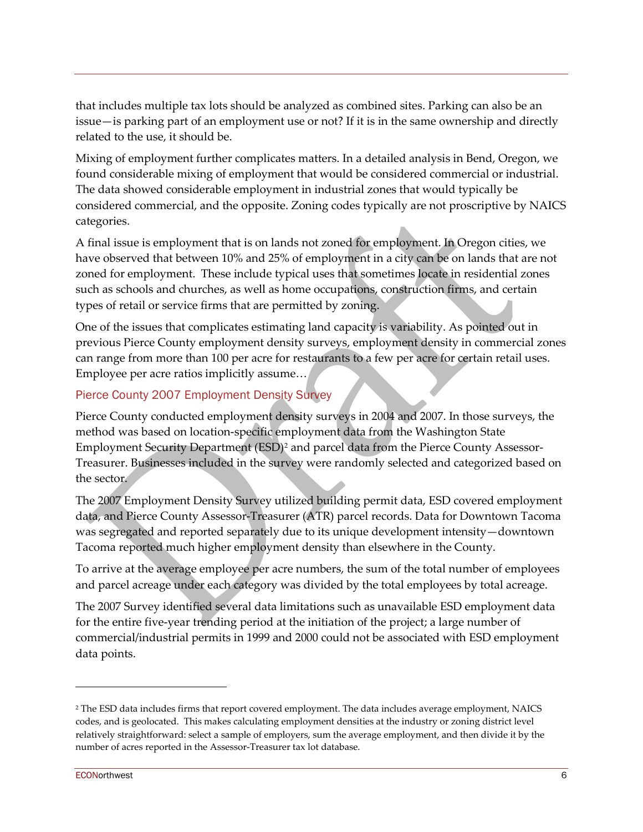that includes multiple tax lots should be analyzed as combined sites. Parking can also be an issue—is parking part of an employment use or not? If it is in the same ownership and directly related to the use, it should be.

Mixing of employment further complicates matters. In a detailed analysis in Bend, Oregon, we found considerable mixing of employment that would be considered commercial or industrial. The data showed considerable employment in industrial zones that would typically be considered commercial, and the opposite. Zoning codes typically are not proscriptive by NAICS categories.

A final issue is employment that is on lands not zoned for employment. In Oregon cities, we have observed that between 10% and 25% of employment in a city can be on lands that are not zoned for employment. These include typical uses that sometimes locate in residential zones such as schools and churches, as well as home occupations, construction firms, and certain types of retail or service firms that are permitted by zoning.

One of the issues that complicates estimating land capacity is variability. As pointed out in previous Pierce County employment density surveys, employment density in commercial zones can range from more than 100 per acre for restaurants to a few per acre for certain retail uses. Employee per acre ratios implicitly assume…

# Pierce County 2007 Employment Density Survey

Pierce County conducted employment density surveys in 2004 and 2007. In those surveys, the method was based on location-specific employment data from the Washington State Employment Security Department (ESD)[2](#page-5-0) and parcel data from the Pierce County Assessor-Treasurer. Businesses included in the survey were randomly selected and categorized based on the sector.

The 2007 Employment Density Survey utilized building permit data, ESD covered employment data, and Pierce County Assessor-Treasurer (ATR) parcel records. Data for Downtown Tacoma was segregated and reported separately due to its unique development intensity—downtown Tacoma reported much higher employment density than elsewhere in the County.

To arrive at the average employee per acre numbers, the sum of the total number of employees and parcel acreage under each category was divided by the total employees by total acreage.

The 2007 Survey identified several data limitations such as unavailable ESD employment data for the entire five-year trending period at the initiation of the project; a large number of commercial/industrial permits in 1999 and 2000 could not be associated with ESD employment data points.

<span id="page-5-0"></span><sup>2</sup> The ESD data includes firms that report covered employment. The data includes average employment, NAICS codes, and is geolocated. This makes calculating employment densities at the industry or zoning district level relatively straightforward: select a sample of employers, sum the average employment, and then divide it by the number of acres reported in the Assessor-Treasurer tax lot database.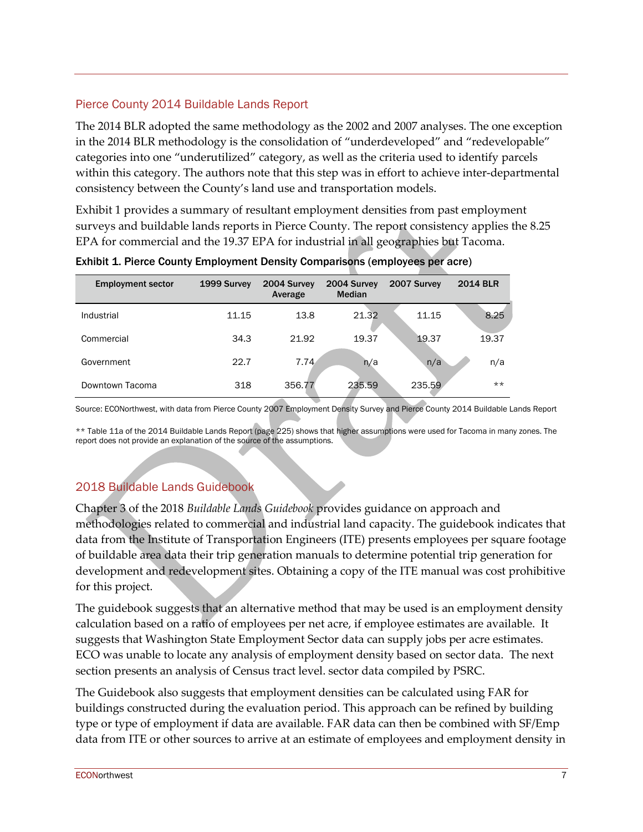### Pierce County 2014 Buildable Lands Report

The 2014 BLR adopted the same methodology as the 2002 and 2007 analyses. The one exception in the 2014 BLR methodology is the consolidation of "underdeveloped" and "redevelopable" categories into one "underutilized" category, as well as the criteria used to identify parcels within this category. The authors note that this step was in effort to achieve inter-departmental consistency between the County's land use and transportation models.

[Exhibit 1](#page-6-0) provides a summary of resultant employment densities from past employment surveys and buildable lands reports in Pierce County. The report consistency applies the 8.25 EPA for commercial and the 19.37 EPA for industrial in all geographies but Tacoma.

| <b>Employment sector</b> | 1999 Survey | 2004 Survey<br>Average | 2004 Survey<br><b>Median</b> | 2007 Survey | <b>2014 BLR</b> |
|--------------------------|-------------|------------------------|------------------------------|-------------|-----------------|
| Industrial               | 11.15       | 13.8                   | 21.32                        | 11.15       | 8.25            |
| Commercial               | 34.3        | 21.92                  | 19.37                        | 19.37       | 19.37           |
| Government               | 22.7        | 7.74                   | n/a                          | n/a         | n/a             |
| Downtown Tacoma          | 318         | 356.77                 | 235.59                       | 235.59      | $***$           |

<span id="page-6-0"></span>Exhibit 1. Pierce County Employment Density Comparisons (employees per acre)

Source: ECONorthwest, with data from Pierce County 2007 Employment Density Survey and Pierce County 2014 Buildable Lands Report

\*\* Table 11a of the 2014 Buildable Lands Report (page 225) shows that higher assumptions were used for Tacoma in many zones. The report does not provide an explanation of the source of the assumptions.

# 2018 Buildable Lands Guidebook

Chapter 3 of the 2018 *Buildable Lands Guidebook* provides guidance on approach and methodologies related to commercial and industrial land capacity. The guidebook indicates that data from the Institute of Transportation Engineers (ITE) presents employees per square footage of buildable area data their trip generation manuals to determine potential trip generation for development and redevelopment sites. Obtaining a copy of the ITE manual was cost prohibitive for this project.

The guidebook suggests that an alternative method that may be used is an employment density calculation based on a ratio of employees per net acre, if employee estimates are available. It suggests that Washington State Employment Sector data can supply jobs per acre estimates. ECO was unable to locate any analysis of employment density based on sector data. The next section presents an analysis of Census tract level. sector data compiled by PSRC.

The Guidebook also suggests that employment densities can be calculated using FAR for buildings constructed during the evaluation period. This approach can be refined by building type or type of employment if data are available. FAR data can then be combined with SF/Emp data from ITE or other sources to arrive at an estimate of employees and employment density in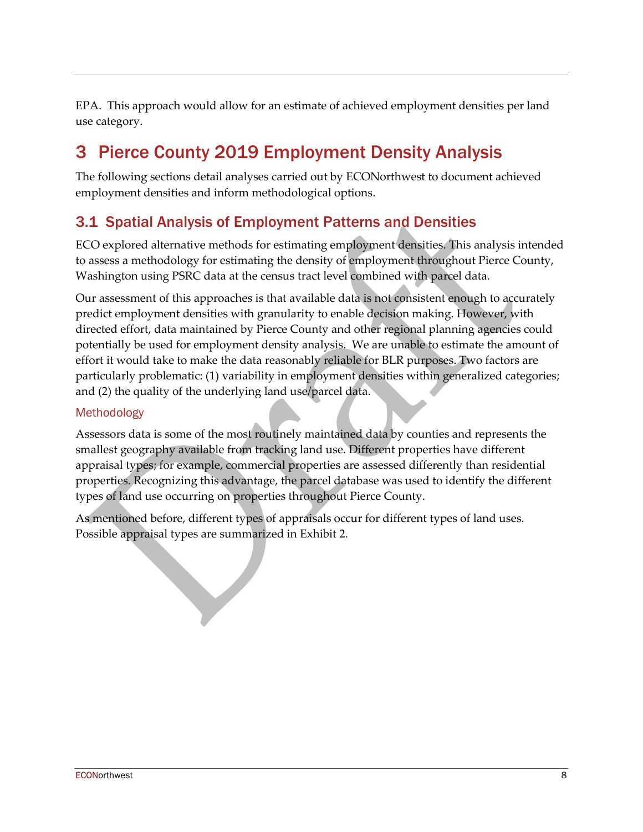EPA. This approach would allow for an estimate of achieved employment densities per land use category.

# 3 Pierce County 2019 Employment Density Analysis

The following sections detail analyses carried out by ECONorthwest to document achieved employment densities and inform methodological options.

# 3.1 Spatial Analysis of Employment Patterns and Densities

ECO explored alternative methods for estimating employment densities. This analysis intended to assess a methodology for estimating the density of employment throughout Pierce County, Washington using PSRC data at the census tract level combined with parcel data.

Our assessment of this approaches is that available data is not consistent enough to accurately predict employment densities with granularity to enable decision making. However, with directed effort, data maintained by Pierce County and other regional planning agencies could potentially be used for employment density analysis. We are unable to estimate the amount of effort it would take to make the data reasonably reliable for BLR purposes. Two factors are particularly problematic: (1) variability in employment densities within generalized categories; and (2) the quality of the underlying land use/parcel data.

## Methodology

Assessors data is some of the most routinely maintained data by counties and represents the smallest geography available from tracking land use. Different properties have different appraisal types; for example, commercial properties are assessed differently than residential properties. Recognizing this advantage, the parcel database was used to identify the different types of land use occurring on properties throughout Pierce County.

As mentioned before, different types of appraisals occur for different types of land uses. Possible appraisal types are summarized in Exhibit 2.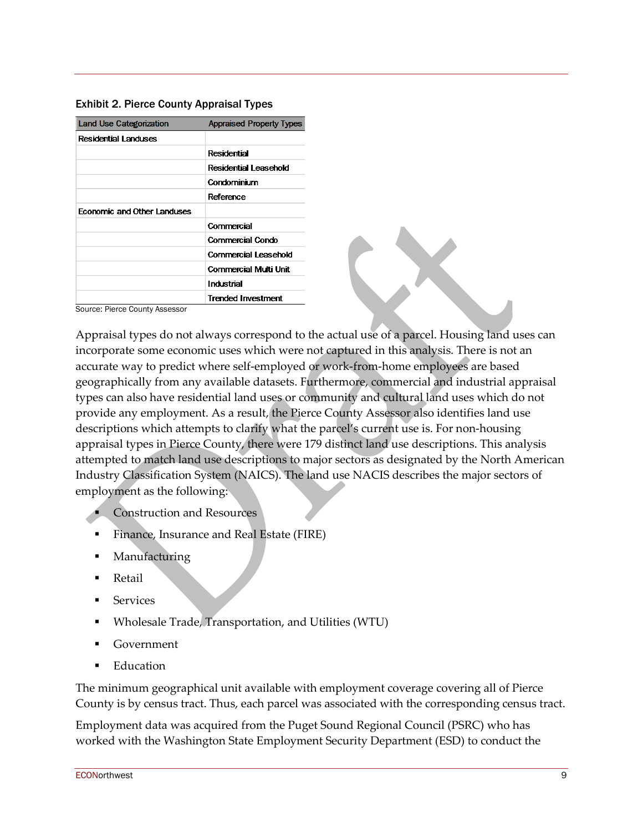| <b>Exhibit 2. Pierce County Appraisal Types</b> |  |  |  |  |  |
|-------------------------------------------------|--|--|--|--|--|
|-------------------------------------------------|--|--|--|--|--|

| <b>Land Use Categorization</b> | <b>Appraised Property Types</b> |
|--------------------------------|---------------------------------|
| Residential Landuses           |                                 |
|                                | Residential                     |
|                                | Residential Leasehold           |
|                                | Condominium                     |
|                                | Reference                       |
| Economic and Other Landuses    |                                 |
|                                | Commercial                      |
|                                | <b>Commercial Condo</b>         |
|                                | Commercial Leasehold            |
|                                | Commercial Multi Unit           |
|                                | Industrial                      |
|                                | <b>Trended Investment</b>       |

Source: Pierce County Assessor

Appraisal types do not always correspond to the actual use of a parcel. Housing land uses can incorporate some economic uses which were not captured in this analysis. There is not an accurate way to predict where self-employed or work-from-home employees are based geographically from any available datasets. Furthermore, commercial and industrial appraisal types can also have residential land uses or community and cultural land uses which do not provide any employment. As a result, the Pierce County Assessor also identifies land use descriptions which attempts to clarify what the parcel's current use is. For non-housing appraisal types in Pierce County, there were 179 distinct land use descriptions. This analysis attempted to match land use descriptions to major sectors as designated by the North American Industry Classification System (NAICS). The land use NACIS describes the major sectors of employment as the following:

- Construction and Resources
- Finance, Insurance and Real Estate (FIRE)
- **Manufacturing**
- Retail
- Services
- Wholesale Trade, Transportation, and Utilities (WTU)
- Government
- Education

The minimum geographical unit available with employment coverage covering all of Pierce County is by census tract. Thus, each parcel was associated with the corresponding census tract.

Employment data was acquired from the Puget Sound Regional Council (PSRC) who has worked with the Washington State Employment Security Department (ESD) to conduct the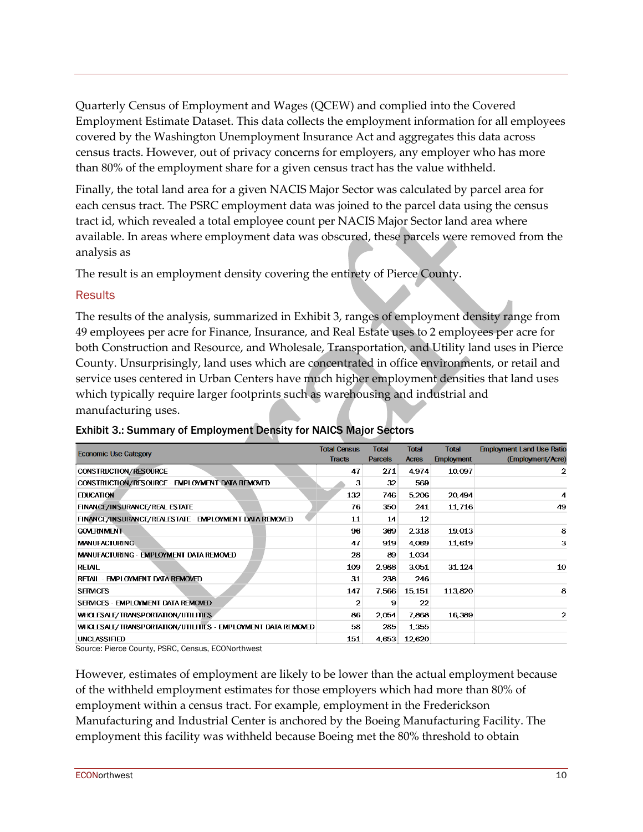Quarterly Census of Employment and Wages (QCEW) and complied into the Covered Employment Estimate Dataset. This data collects the employment information for all employees covered by the Washington Unemployment Insurance Act and aggregates this data across census tracts. However, out of privacy concerns for employers, any employer who has more than 80% of the employment share for a given census tract has the value withheld.

Finally, the total land area for a given NACIS Major Sector was calculated by parcel area for each census tract. The PSRC employment data was joined to the parcel data using the census tract id, which revealed a total employee count per NACIS Major Sector land area where available. In areas where employment data was obscured, these parcels were removed from the analysis as

The result is an employment density covering the entirety of Pierce County.

### **Results**

The results of the analysis, summarized in Exhibit 3, ranges of employment density range from 49 employees per acre for Finance, Insurance, and Real Estate uses to 2 employees per acre for both Construction and Resource, and Wholesale, Transportation, and Utility land uses in Pierce County. Unsurprisingly, land uses which are concentrated in office environments, or retail and service uses centered in Urban Centers have much higher employment densities that land uses which typically require larger footprints such as warehousing and industrial and manufacturing uses.

| <b>Economic Use Category</b>                                 | <b>Total Census</b><br><b>Tracts</b> | Total<br><b>Parcels</b> | <b>Total</b><br><b>Acres</b> | <b>Total</b><br><b>Employment</b> | <b>Employment Land Use Ratio</b><br>(Employment/Acre) |
|--------------------------------------------------------------|--------------------------------------|-------------------------|------------------------------|-----------------------------------|-------------------------------------------------------|
| CONSTRUCTION/RESOURCE                                        | 47                                   | 271                     | 4.974                        | 10,097                            | 2                                                     |
| CONSTRUCTION/RESOURCE - EMPLOYMENT DATA REMOVED              | з                                    | 32                      | 569                          |                                   |                                                       |
| <b>EDUCATION</b>                                             | 132                                  | 746                     | 5206                         | 20,494                            | 4                                                     |
| FINANCE/INSURANCE/REAL ESTATE                                | 76                                   | 350                     | 241                          | 11716                             | 49                                                    |
| FINANCE/INSURANCE/REALESTATE - EMPLOYMENT DATA REMOVED       | 11                                   | 14                      | 12                           |                                   |                                                       |
| <b>GOMERNMENT</b>                                            | 96                                   | 369                     | 2318                         | 19,013                            | 8                                                     |
| <b>MANUFACTURING</b>                                         | 47                                   | 919                     | 4,069                        | 11,619                            | з                                                     |
| MANUFACTURING - EMPLOYMENT DATA REMOVED                      | 28                                   | 89                      | 1,034                        |                                   |                                                       |
| RETAIL                                                       | 109                                  | 2,988                   | 3,051                        | 31, 124                           | 10                                                    |
| RETAIL - EMPLOYMENT DATA REMOVED                             | 31                                   | 238                     | 246                          |                                   |                                                       |
| <b>SERMCES</b>                                               | 147                                  | 7.566                   | 15, 151                      | 113 820                           | 8                                                     |
| SERVICES - EMPLOYMENT DATA REMOVED                           | 2                                    | 9                       | 22                           |                                   |                                                       |
| WHOLESALE/TRANSPORTATION/UTILITIES                           | 86                                   | 2.054                   | 7.868                        | 16,389                            | 2                                                     |
| WHOLESALE/TRANSPORTATION/UTILITIES - EMPLOYMENT DATA REMOVED | 58                                   | 285                     | 1,355                        |                                   |                                                       |
| <b>UNCLASSIFIED</b>                                          | 151                                  | 4,653                   | 12,620                       |                                   |                                                       |

### Exhibit 3.: Summary of Employment Density for NAICS Major Sectors

Source: Pierce County, PSRC, Census, ECONorthwest

However, estimates of employment are likely to be lower than the actual employment because of the withheld employment estimates for those employers which had more than 80% of employment within a census tract. For example, employment in the Frederickson Manufacturing and Industrial Center is anchored by the Boeing Manufacturing Facility. The employment this facility was withheld because Boeing met the 80% threshold to obtain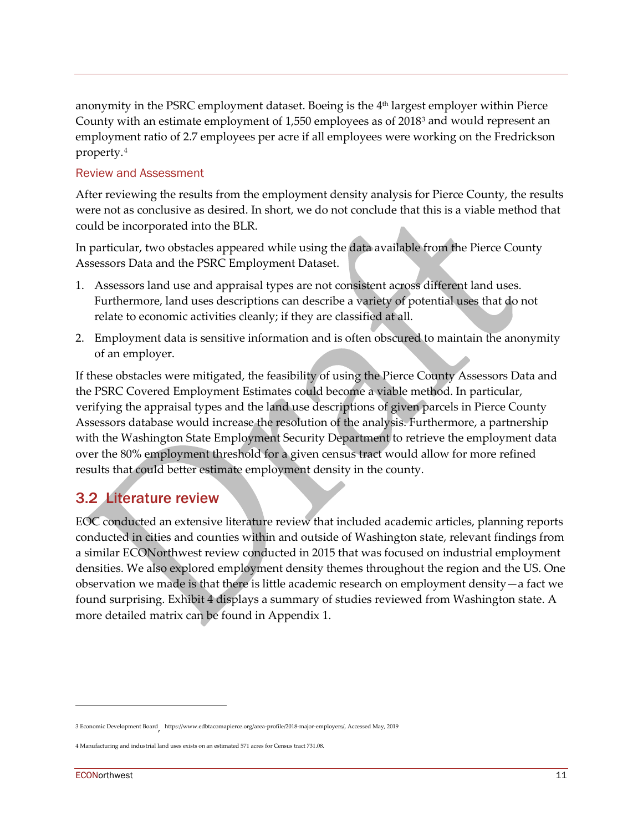anonymity in the PSRC employment dataset. Boeing is the  $4<sup>th</sup>$  largest employer within Pierce County with an estimate employment of 1,550 employees as of 2018[3](#page-10-0) and would represent an employment ratio of 2.7 employees per acre if all employees were working on the Fredrickson property.[4](#page-10-1)

### Review and Assessment

After reviewing the results from the employment density analysis for Pierce County, the results were not as conclusive as desired. In short, we do not conclude that this is a viable method that could be incorporated into the BLR.

In particular, two obstacles appeared while using the data available from the Pierce County Assessors Data and the PSRC Employment Dataset.

- 1. Assessors land use and appraisal types are not consistent across different land uses. Furthermore, land uses descriptions can describe a variety of potential uses that do not relate to economic activities cleanly; if they are classified at all.
- 2. Employment data is sensitive information and is often obscured to maintain the anonymity of an employer.

If these obstacles were mitigated, the feasibility of using the Pierce County Assessors Data and the PSRC Covered Employment Estimates could become a viable method. In particular, verifying the appraisal types and the land use descriptions of given parcels in Pierce County Assessors database would increase the resolution of the analysis. Furthermore, a partnership with the Washington State Employment Security Department to retrieve the employment data over the 80% employment threshold for a given census tract would allow for more refined results that could better estimate employment density in the county.

# 3.2 Literature review

EOC conducted an extensive literature review that included academic articles, planning reports conducted in cities and counties within and outside of Washington state, relevant findings from a similar ECONorthwest review conducted in 2015 that was focused on industrial employment densities. We also explored employment density themes throughout the region and the US. One observation we made is that there is little academic research on employment density—a fact we found surprising. Exhibit 4 displays a summary of studies reviewed from Washington state. A more detailed matrix can be found in [Appendix 1.](#page-22-0)

<span id="page-10-0"></span><sup>3</sup> Economic Development Board, [https://www.edbtacomapierce.org/area-profile/2018-major-employers/,](https://www.edbtacomapierce.org/area-profile/2018-major-employers/) Accessed May, 2019

<span id="page-10-1"></span><sup>4</sup> Manufacturing and industrial land uses exists on an estimated 571 acres for Census tract 731.08.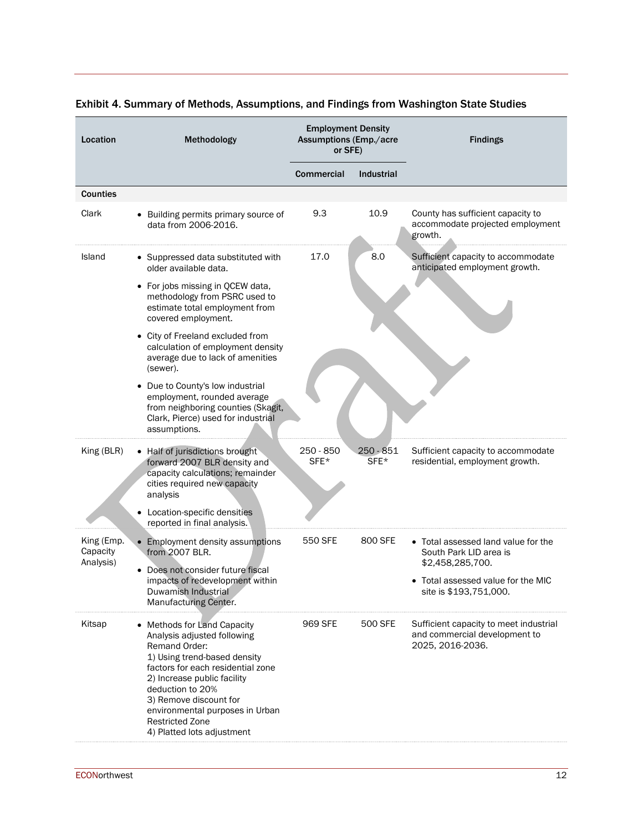| Location                            | Methodology                                                                                                                                                                                                                                                                                                              | <b>Employment Density</b><br><b>Assumptions (Emp./acre</b><br>or SFE) |                     | <b>Findings</b>                                                                             |
|-------------------------------------|--------------------------------------------------------------------------------------------------------------------------------------------------------------------------------------------------------------------------------------------------------------------------------------------------------------------------|-----------------------------------------------------------------------|---------------------|---------------------------------------------------------------------------------------------|
|                                     |                                                                                                                                                                                                                                                                                                                          | Commercial                                                            | Industrial          |                                                                                             |
| <b>Counties</b>                     |                                                                                                                                                                                                                                                                                                                          |                                                                       |                     |                                                                                             |
| Clark                               | • Building permits primary source of<br>data from 2006-2016.                                                                                                                                                                                                                                                             | 9.3                                                                   | 10.9                | County has sufficient capacity to<br>accommodate projected employment<br>growth.            |
| Island                              | • Suppressed data substituted with<br>older available data.                                                                                                                                                                                                                                                              | 17.0                                                                  | 8.0                 | Sufficient capacity to accommodate<br>anticipated employment growth.                        |
|                                     | • For jobs missing in QCEW data,<br>methodology from PSRC used to<br>estimate total employment from<br>covered employment.                                                                                                                                                                                               |                                                                       |                     |                                                                                             |
|                                     | • City of Freeland excluded from<br>calculation of employment density<br>average due to lack of amenities<br>(sewer).                                                                                                                                                                                                    |                                                                       |                     |                                                                                             |
|                                     | • Due to County's low industrial<br>employment, rounded average<br>from neighboring counties (Skagit,<br>Clark, Pierce) used for industrial<br>assumptions.                                                                                                                                                              |                                                                       |                     |                                                                                             |
| King (BLR)                          | • Half of jurisdictions brought<br>forward 2007 BLR density and<br>capacity calculations; remainder<br>cities required new capacity<br>analysis<br>Location-specific densities<br>reported in final analysis.                                                                                                            | 250 - 850<br>SFE*                                                     | $250 - 851$<br>SFE* | Sufficient capacity to accommodate<br>residential, employment growth.                       |
| King (Emp.<br>Capacity<br>Analysis) | • Employment density assumptions<br>from 2007 BLR.                                                                                                                                                                                                                                                                       | 550 SFE                                                               | 800 SFE             | • Total assessed land value for the<br>South Park LID area is<br>\$2,458,285,700.           |
|                                     | Does not consider future fiscal<br>impacts of redevelopment within<br>Duwamish Industrial<br>Manufacturing Center.                                                                                                                                                                                                       |                                                                       |                     | • Total assessed value for the MIC<br>site is \$193,751,000.                                |
| Kitsap                              | • Methods for Land Capacity<br>Analysis adjusted following<br>Remand Order:<br>1) Using trend-based density<br>factors for each residential zone<br>2) Increase public facility<br>deduction to 20%<br>3) Remove discount for<br>environmental purposes in Urban<br><b>Restricted Zone</b><br>4) Platted lots adjustment | 969 SFE                                                               | 500 SFE             | Sufficient capacity to meet industrial<br>and commercial development to<br>2025, 2016-2036. |

# Exhibit 4. Summary of Methods, Assumptions, and Findings from Washington State Studies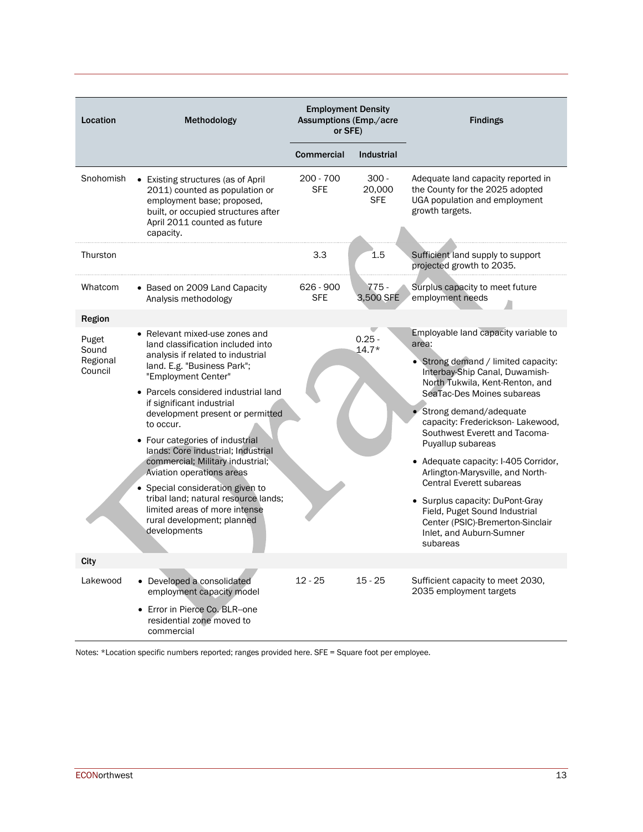| Location                              | Methodology                                                                                                                                                                                                                                                                                                                                                                                                                                                                                                                                                                             | <b>Employment Density</b><br><b>Assumptions (Emp./acre</b><br>or SFE) |                                 | <b>Findings</b>                                                                                                                                                                                                                                                                                                                                                                                                                                                                                                                                                            |
|---------------------------------------|-----------------------------------------------------------------------------------------------------------------------------------------------------------------------------------------------------------------------------------------------------------------------------------------------------------------------------------------------------------------------------------------------------------------------------------------------------------------------------------------------------------------------------------------------------------------------------------------|-----------------------------------------------------------------------|---------------------------------|----------------------------------------------------------------------------------------------------------------------------------------------------------------------------------------------------------------------------------------------------------------------------------------------------------------------------------------------------------------------------------------------------------------------------------------------------------------------------------------------------------------------------------------------------------------------------|
|                                       |                                                                                                                                                                                                                                                                                                                                                                                                                                                                                                                                                                                         | Commercial                                                            | <b>Industrial</b>               |                                                                                                                                                                                                                                                                                                                                                                                                                                                                                                                                                                            |
| Snohomish                             | • Existing structures (as of April<br>2011) counted as population or<br>employment base; proposed,<br>built, or occupied structures after<br>April 2011 counted as future<br>capacity.                                                                                                                                                                                                                                                                                                                                                                                                  | 200 - 700<br><b>SFE</b>                                               | $300 -$<br>20,000<br><b>SFE</b> | Adequate land capacity reported in<br>the County for the 2025 adopted<br>UGA population and employment<br>growth targets.                                                                                                                                                                                                                                                                                                                                                                                                                                                  |
| Thurston                              |                                                                                                                                                                                                                                                                                                                                                                                                                                                                                                                                                                                         | 3.3                                                                   | 1.5                             | Sufficient land supply to support<br>projected growth to 2035.                                                                                                                                                                                                                                                                                                                                                                                                                                                                                                             |
| Whatcom                               | • Based on 2009 Land Capacity<br>Analysis methodology                                                                                                                                                                                                                                                                                                                                                                                                                                                                                                                                   | 626 - 900<br><b>SFE</b>                                               | $775 -$<br>3,500 SFE            | Surplus capacity to meet future<br>employment needs                                                                                                                                                                                                                                                                                                                                                                                                                                                                                                                        |
| <b>Region</b>                         |                                                                                                                                                                                                                                                                                                                                                                                                                                                                                                                                                                                         |                                                                       |                                 |                                                                                                                                                                                                                                                                                                                                                                                                                                                                                                                                                                            |
| Puget<br>Sound<br>Regional<br>Council | Relevant mixed-use zones and<br>land classification included into<br>analysis if related to industrial<br>land. E.g. "Business Park";<br>"Employment Center"<br>• Parcels considered industrial land<br>if significant industrial<br>development present or permitted<br>to occur.<br>• Four categories of industrial<br>lands: Core industrial; Industrial<br>commercial; Military industrial;<br>Aviation operations areas<br>• Special consideration given to<br>tribal land; natural resource lands;<br>limited areas of more intense<br>rural development; planned<br>developments |                                                                       | $0.25 -$<br>$14.7*$             | Employable land capacity variable to<br>area:<br>• Strong demand / limited capacity:<br>Interbay-Ship Canal, Duwamish-<br>North Tukwila, Kent-Renton, and<br>SeaTac-Des Moines subareas<br>Strong demand/adequate<br>capacity: Frederickson-Lakewood,<br>Southwest Everett and Tacoma-<br>Puyallup subareas<br>• Adequate capacity: I-405 Corridor,<br>Arlington-Marysville, and North-<br><b>Central Everett subareas</b><br>• Surplus capacity: DuPont-Gray<br>Field, Puget Sound Industrial<br>Center (PSIC)-Bremerton-Sinclair<br>Inlet, and Auburn-Sumner<br>subareas |
| City                                  |                                                                                                                                                                                                                                                                                                                                                                                                                                                                                                                                                                                         |                                                                       |                                 |                                                                                                                                                                                                                                                                                                                                                                                                                                                                                                                                                                            |
| Lakewood                              | • Developed a consolidated<br>employment capacity model<br>• Error in Pierce Co. BLR-one                                                                                                                                                                                                                                                                                                                                                                                                                                                                                                | $12 - 25$                                                             | $15 - 25$                       | Sufficient capacity to meet 2030,<br>2035 employment targets                                                                                                                                                                                                                                                                                                                                                                                                                                                                                                               |
|                                       | residential zone moved to<br>commercial                                                                                                                                                                                                                                                                                                                                                                                                                                                                                                                                                 |                                                                       |                                 |                                                                                                                                                                                                                                                                                                                                                                                                                                                                                                                                                                            |

Notes: \*Location specific numbers reported; ranges provided here. SFE = Square foot per employee.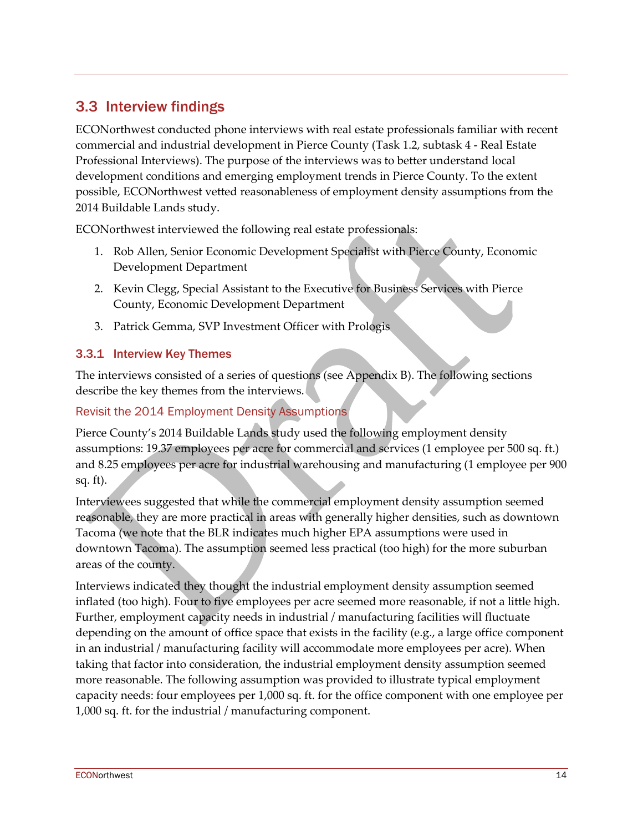# 3.3 Interview findings

ECONorthwest conducted phone interviews with real estate professionals familiar with recent commercial and industrial development in Pierce County (Task 1.2, subtask 4 - Real Estate Professional Interviews). The purpose of the interviews was to better understand local development conditions and emerging employment trends in Pierce County. To the extent possible, ECONorthwest vetted reasonableness of employment density assumptions from the 2014 Buildable Lands study.

ECONorthwest interviewed the following real estate professionals:

- 1. Rob Allen, Senior Economic Development Specialist with Pierce County, Economic Development Department
- 2. Kevin Clegg, Special Assistant to the Executive for Business Services with Pierce County, Economic Development Department
- 3. Patrick Gemma, SVP Investment Officer with Prologis

### 3.3.1 Interview Key Themes

The interviews consisted of a series of questions (see Appendix B). The following sections describe the key themes from the interviews.

### Revisit the 2014 Employment Density Assumptions

Pierce County's 2014 Buildable Lands study used the following employment density assumptions: 19.37 employees per acre for commercial and services (1 employee per 500 sq. ft.) and 8.25 employees per acre for industrial warehousing and manufacturing (1 employee per 900 sq. ft).

Interviewees suggested that while the commercial employment density assumption seemed reasonable, they are more practical in areas with generally higher densities, such as downtown Tacoma (we note that the BLR indicates much higher EPA assumptions were used in downtown Tacoma). The assumption seemed less practical (too high) for the more suburban areas of the county.

Interviews indicated they thought the industrial employment density assumption seemed inflated (too high). Four to five employees per acre seemed more reasonable, if not a little high. Further, employment capacity needs in industrial / manufacturing facilities will fluctuate depending on the amount of office space that exists in the facility (e.g., a large office component in an industrial / manufacturing facility will accommodate more employees per acre). When taking that factor into consideration, the industrial employment density assumption seemed more reasonable. The following assumption was provided to illustrate typical employment capacity needs: four employees per 1,000 sq. ft. for the office component with one employee per 1,000 sq. ft. for the industrial / manufacturing component.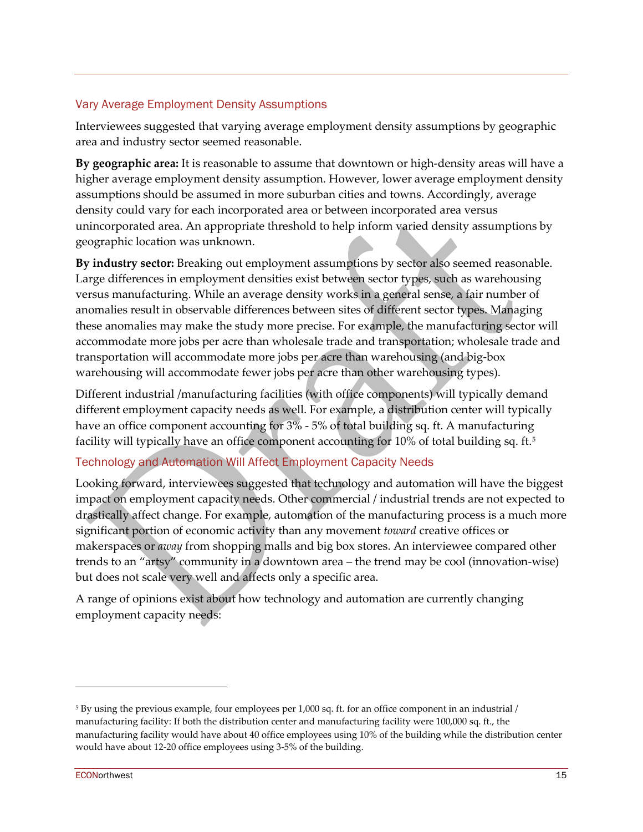# Vary Average Employment Density Assumptions

Interviewees suggested that varying average employment density assumptions by geographic area and industry sector seemed reasonable.

**By geographic area:** It is reasonable to assume that downtown or high-density areas will have a higher average employment density assumption. However, lower average employment density assumptions should be assumed in more suburban cities and towns. Accordingly, average density could vary for each incorporated area or between incorporated area versus unincorporated area. An appropriate threshold to help inform varied density assumptions by geographic location was unknown.

**By industry sector:** Breaking out employment assumptions by sector also seemed reasonable. Large differences in employment densities exist between sector types, such as warehousing versus manufacturing. While an average density works in a general sense, a fair number of anomalies result in observable differences between sites of different sector types. Managing these anomalies may make the study more precise. For example, the manufacturing sector will accommodate more jobs per acre than wholesale trade and transportation; wholesale trade and transportation will accommodate more jobs per acre than warehousing (and big-box warehousing will accommodate fewer jobs per acre than other warehousing types).

Different industrial /manufacturing facilities (with office components) will typically demand different employment capacity needs as well. For example, a distribution center will typically have an office component accounting for  $3\%$  - 5% of total building sq. ft. A manufacturing facility will typically have an office component accounting for 10% of total building sq. ft.<sup>[5](#page-14-0)</sup>

# Technology and Automation Will Affect Employment Capacity Needs

Looking forward, interviewees suggested that technology and automation will have the biggest impact on employment capacity needs. Other commercial / industrial trends are not expected to drastically affect change. For example, automation of the manufacturing process is a much more significant portion of economic activity than any movement *toward* creative offices or makerspaces or *away* from shopping malls and big box stores. An interviewee compared other trends to an "artsy" community in a downtown area – the trend may be cool (innovation-wise) but does not scale very well and affects only a specific area.

A range of opinions exist about how technology and automation are currently changing employment capacity needs:

<span id="page-14-0"></span><sup>5</sup> By using the previous example, four employees per 1,000 sq. ft. for an office component in an industrial / manufacturing facility: If both the distribution center and manufacturing facility were 100,000 sq. ft., the manufacturing facility would have about 40 office employees using 10% of the building while the distribution center would have about 12-20 office employees using 3-5% of the building.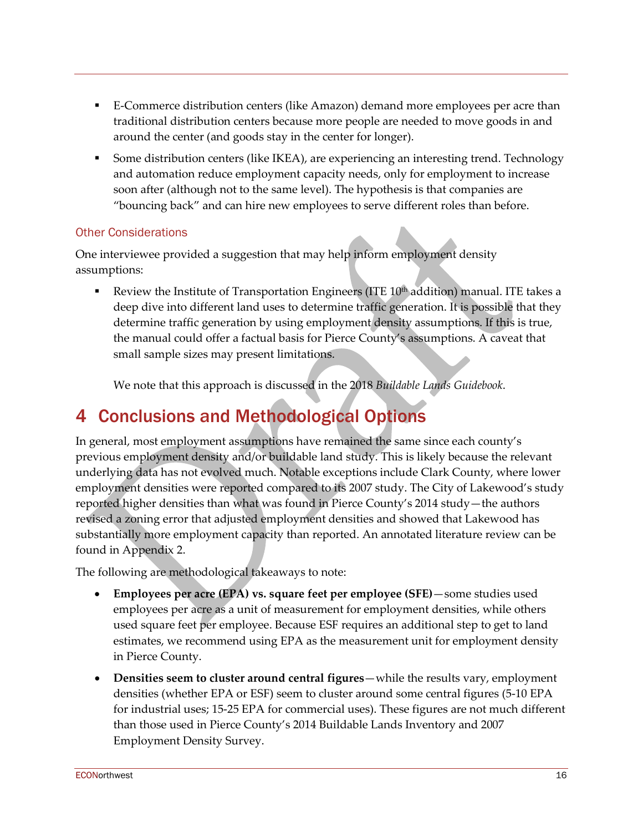- E-Commerce distribution centers (like Amazon) demand more employees per acre than traditional distribution centers because more people are needed to move goods in and around the center (and goods stay in the center for longer).
- Some distribution centers (like IKEA), are experiencing an interesting trend. Technology and automation reduce employment capacity needs, only for employment to increase soon after (although not to the same level). The hypothesis is that companies are "bouncing back" and can hire new employees to serve different roles than before.

# Other Considerations

One interviewee provided a suggestion that may help inform employment density assumptions:

Review the Institute of Transportation Engineers (ITE 10<sup>th</sup> addition) manual. ITE takes a deep dive into different land uses to determine traffic generation. It is possible that they determine traffic generation by using employment density assumptions. If this is true, the manual could offer a factual basis for Pierce County's assumptions. A caveat that small sample sizes may present limitations.

We note that this approach is discussed in the 2018 *Buildable Lands Guidebook*.

# 4 Conclusions and Methodological Options

In general, most employment assumptions have remained the same since each county's previous employment density and/or buildable land study. This is likely because the relevant underlying data has not evolved much. Notable exceptions include Clark County, where lower employment densities were reported compared to its 2007 study. The City of Lakewood's study reported higher densities than what was found in Pierce County's 2014 study—the authors revised a zoning error that adjusted employment densities and showed that Lakewood has substantially more employment capacity than reported. An annotated literature review can be found in [Appendix 2.](#page-29-0)

The following are methodological takeaways to note:

- **Employees per acre (EPA) vs. square feet per employee (SFE)**—some studies used employees per acre as a unit of measurement for employment densities, while others used square feet per employee. Because ESF requires an additional step to get to land estimates, we recommend using EPA as the measurement unit for employment density in Pierce County.
- **Densities seem to cluster around central figures**—while the results vary, employment densities (whether EPA or ESF) seem to cluster around some central figures (5-10 EPA for industrial uses; 15-25 EPA for commercial uses). These figures are not much different than those used in Pierce County's 2014 Buildable Lands Inventory and 2007 Employment Density Survey.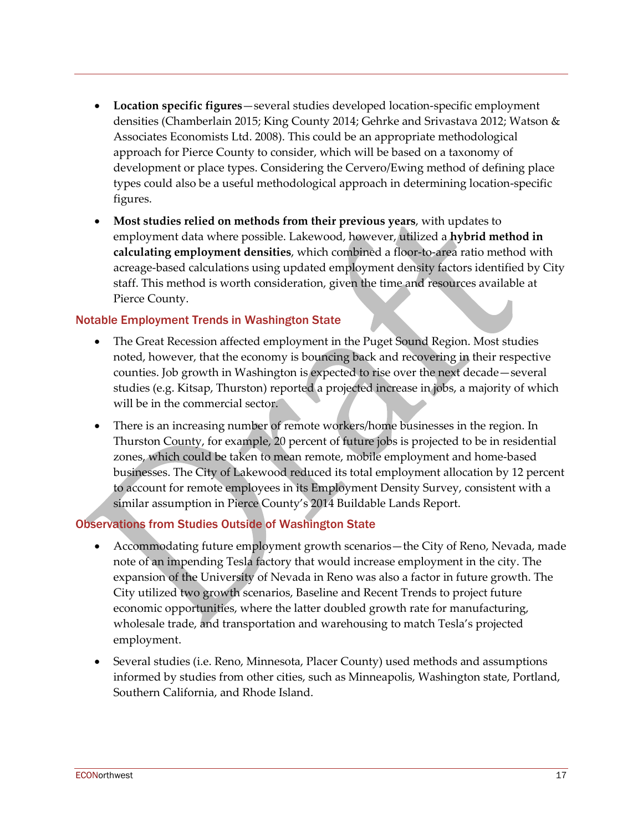- **Location specific figures**—several studies developed location-specific employment densities (Chamberlain 2015; King County 2014; Gehrke and Srivastava 2012; Watson & Associates Economists Ltd. 2008). This could be an appropriate methodological approach for Pierce County to consider, which will be based on a taxonomy of development or place types. Considering the Cervero/Ewing method of defining place types could also be a useful methodological approach in determining location-specific figures.
- **Most studies relied on methods from their previous years**, with updates to employment data where possible. Lakewood, however, utilized a **hybrid method in calculating employment densities**, which combined a floor-to-area ratio method with acreage-based calculations using updated employment density factors identified by City staff. This method is worth consideration, given the time and resources available at Pierce County.

### Notable Employment Trends in Washington State

- The Great Recession affected employment in the Puget Sound Region. Most studies noted, however, that the economy is bouncing back and recovering in their respective counties. Job growth in Washington is expected to rise over the next decade—several studies (e.g. Kitsap, Thurston) reported a projected increase in jobs, a majority of which will be in the commercial sector.
- There is an increasing number of remote workers/home businesses in the region. In Thurston County, for example, 20 percent of future jobs is projected to be in residential zones, which could be taken to mean remote, mobile employment and home-based businesses. The City of Lakewood reduced its total employment allocation by 12 percent to account for remote employees in its Employment Density Survey, consistent with a similar assumption in Pierce County's 2014 Buildable Lands Report.

### Observations from Studies Outside of Washington State

- Accommodating future employment growth scenarios—the City of Reno, Nevada, made note of an impending Tesla factory that would increase employment in the city. The expansion of the University of Nevada in Reno was also a factor in future growth. The City utilized two growth scenarios, Baseline and Recent Trends to project future economic opportunities, where the latter doubled growth rate for manufacturing, wholesale trade, and transportation and warehousing to match Tesla's projected employment.
- Several studies (i.e. Reno, Minnesota, Placer County) used methods and assumptions informed by studies from other cities, such as Minneapolis, Washington state, Portland, Southern California, and Rhode Island.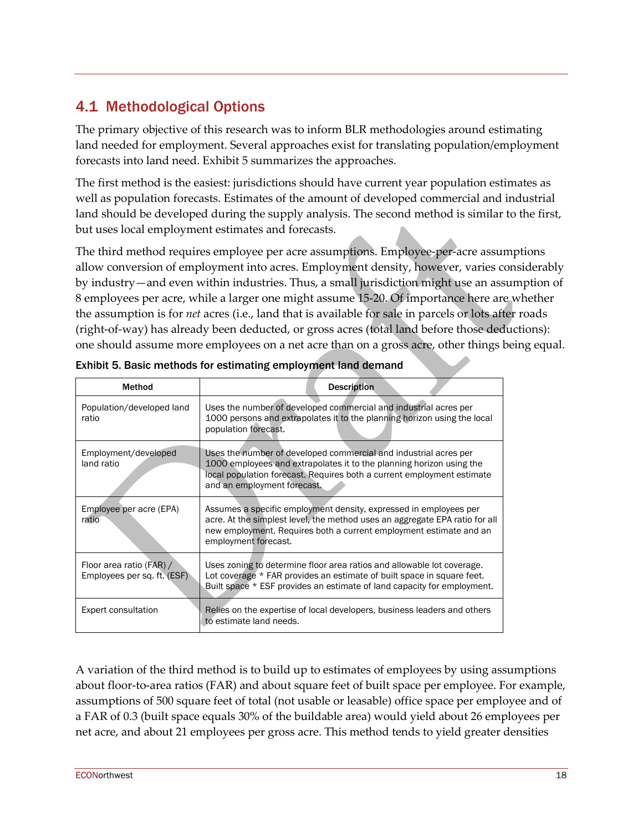# 4.1 Methodological Options

The primary objective of this research was to inform BLR methodologies around estimating land needed for employment. Several approaches exist for translating population/employment forecasts into land need. Exhibit 5 summarizes the approaches.

The first method is the easiest: jurisdictions should have current year population estimates as well as population forecasts. Estimates of the amount of developed commercial and industrial land should be developed during the supply analysis. The second method is similar to the first, but uses local employment estimates and forecasts.

The third method requires employee per acre assumptions. Employee-per-acre assumptions allow conversion of employment into acres. Employment density, however, varies considerably by industry—and even within industries. Thus, a small jurisdiction might use an assumption of 8 employees per acre, while a larger one might assume 15-20. Of importance here are whether the assumption is for *net* acres (i.e., land that is available for sale in parcels or lots after roads (right-of-way) has already been deducted, or gross acres (total land before those deductions): one should assume more employees on a net acre than on a gross acre, other things being equal.

| Method                                                  | <b>Description</b>                                                                                                                                                                                                                                |
|---------------------------------------------------------|---------------------------------------------------------------------------------------------------------------------------------------------------------------------------------------------------------------------------------------------------|
| Population/developed land<br>ratio                      | Uses the number of developed commercial and industrial acres per<br>1000 persons and extrapolates it to the planning horizon using the local<br>population forecast.                                                                              |
| Employment/developed<br>land ratio                      | Uses the number of developed commercial and industrial acres per<br>1000 employees and extrapolates it to the planning horizon using the<br>local population forecast. Requires both a current employment estimate<br>and an employment forecast. |
| Employee per acre (EPA)<br>ratio                        | Assumes a specific employment density, expressed in employees per<br>acre. At the simplest level, the method uses an aggregate EPA ratio for all<br>new employment. Requires both a current employment estimate and an<br>employment forecast.    |
| Floor area ratio (FAR) /<br>Employees per sq. ft. (ESF) | Uses zoning to determine floor area ratios and allowable lot coverage.<br>Lot coverage * FAR provides an estimate of built space in square feet.<br>Built space * ESF provides an estimate of land capacity for employment.                       |
| <b>Expert consultation</b>                              | Relies on the expertise of local developers, business leaders and others<br>to estimate land needs.                                                                                                                                               |

Exhibit 5. Basic methods for estimating employment land demand

A variation of the third method is to build up to estimates of employees by using assumptions about floor-to-area ratios (FAR) and about square feet of built space per employee. For example, assumptions of 500 square feet of total (not usable or leasable) office space per employee and of a FAR of 0.3 (built space equals 30% of the buildable area) would yield about 26 employees per net acre, and about 21 employees per gross acre. This method tends to yield greater densities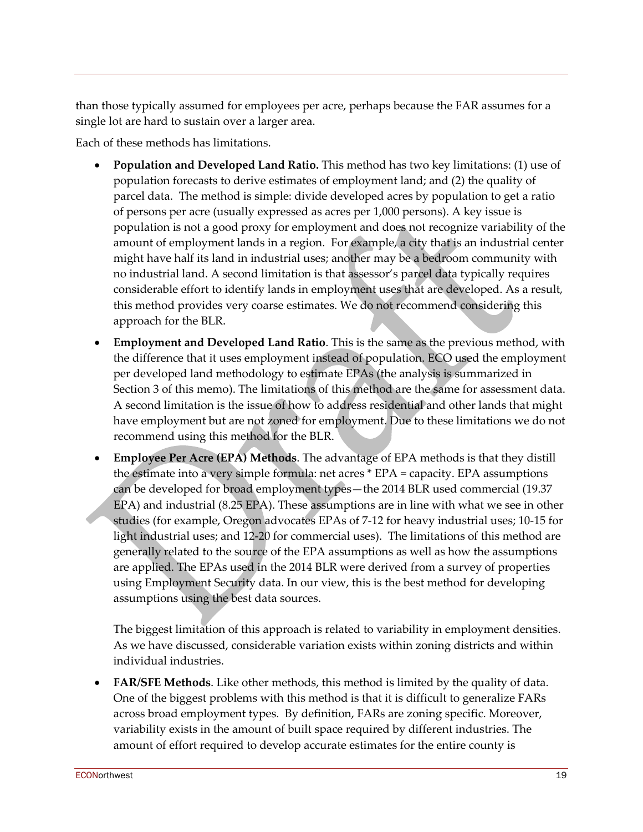than those typically assumed for employees per acre, perhaps because the FAR assumes for a single lot are hard to sustain over a larger area.

Each of these methods has limitations.

- **Population and Developed Land Ratio.** This method has two key limitations: (1) use of population forecasts to derive estimates of employment land; and (2) the quality of parcel data. The method is simple: divide developed acres by population to get a ratio of persons per acre (usually expressed as acres per 1,000 persons). A key issue is population is not a good proxy for employment and does not recognize variability of the amount of employment lands in a region. For example, a city that is an industrial center might have half its land in industrial uses; another may be a bedroom community with no industrial land. A second limitation is that assessor's parcel data typically requires considerable effort to identify lands in employment uses that are developed. As a result, this method provides very coarse estimates. We do not recommend considering this approach for the BLR.
- **Employment and Developed Land Ratio**. This is the same as the previous method, with the difference that it uses employment instead of population. ECO used the employment per developed land methodology to estimate EPAs (the analysis is summarized in Section 3 of this memo). The limitations of this method are the same for assessment data. A second limitation is the issue of how to address residential and other lands that might have employment but are not zoned for employment. Due to these limitations we do not recommend using this method for the BLR.
- **Employee Per Acre (EPA) Methods**. The advantage of EPA methods is that they distill the estimate into a very simple formula: net acres \* EPA = capacity. EPA assumptions can be developed for broad employment types—the 2014 BLR used commercial (19.37 EPA) and industrial (8.25 EPA). These assumptions are in line with what we see in other studies (for example, Oregon advocates EPAs of 7-12 for heavy industrial uses; 10-15 for light industrial uses; and 12-20 for commercial uses). The limitations of this method are generally related to the source of the EPA assumptions as well as how the assumptions are applied. The EPAs used in the 2014 BLR were derived from a survey of properties using Employment Security data. In our view, this is the best method for developing assumptions using the best data sources.

The biggest limitation of this approach is related to variability in employment densities. As we have discussed, considerable variation exists within zoning districts and within individual industries.

• **FAR/SFE Methods**. Like other methods, this method is limited by the quality of data. One of the biggest problems with this method is that it is difficult to generalize FARs across broad employment types. By definition, FARs are zoning specific. Moreover, variability exists in the amount of built space required by different industries. The amount of effort required to develop accurate estimates for the entire county is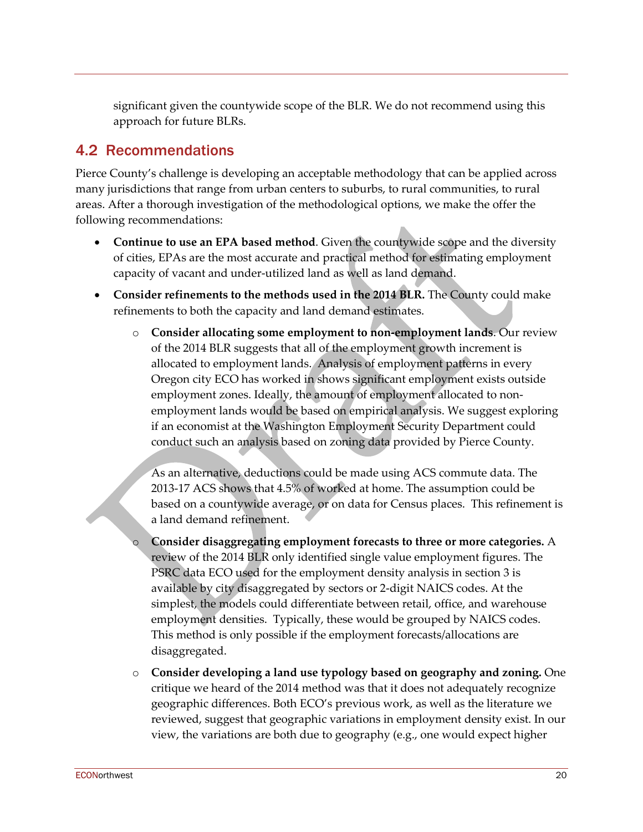significant given the countywide scope of the BLR. We do not recommend using this approach for future BLRs.

# 4.2 Recommendations

Pierce County's challenge is developing an acceptable methodology that can be applied across many jurisdictions that range from urban centers to suburbs, to rural communities, to rural areas. After a thorough investigation of the methodological options, we make the offer the following recommendations:

- **Continue to use an EPA based method**. Given the countywide scope and the diversity of cities, EPAs are the most accurate and practical method for estimating employment capacity of vacant and under-utilized land as well as land demand.
- **Consider refinements to the methods used in the 2014 BLR.** The County could make refinements to both the capacity and land demand estimates.
	- o **Consider allocating some employment to non-employment lands**. Our review of the 2014 BLR suggests that all of the employment growth increment is allocated to employment lands. Analysis of employment patterns in every Oregon city ECO has worked in shows significant employment exists outside employment zones. Ideally, the amount of employment allocated to nonemployment lands would be based on empirical analysis. We suggest exploring if an economist at the Washington Employment Security Department could conduct such an analysis based on zoning data provided by Pierce County.

As an alternative, deductions could be made using ACS commute data. The 2013-17 ACS shows that 4.5% of worked at home. The assumption could be based on a countywide average, or on data for Census places. This refinement is a land demand refinement.

- o **Consider disaggregating employment forecasts to three or more categories.** A review of the 2014 BLR only identified single value employment figures. The PSRC data ECO used for the employment density analysis in section 3 is available by city disaggregated by sectors or 2-digit NAICS codes. At the simplest, the models could differentiate between retail, office, and warehouse employment densities. Typically, these would be grouped by NAICS codes. This method is only possible if the employment forecasts/allocations are disaggregated.
- o **Consider developing a land use typology based on geography and zoning.** One critique we heard of the 2014 method was that it does not adequately recognize geographic differences. Both ECO's previous work, as well as the literature we reviewed, suggest that geographic variations in employment density exist. In our view, the variations are both due to geography (e.g., one would expect higher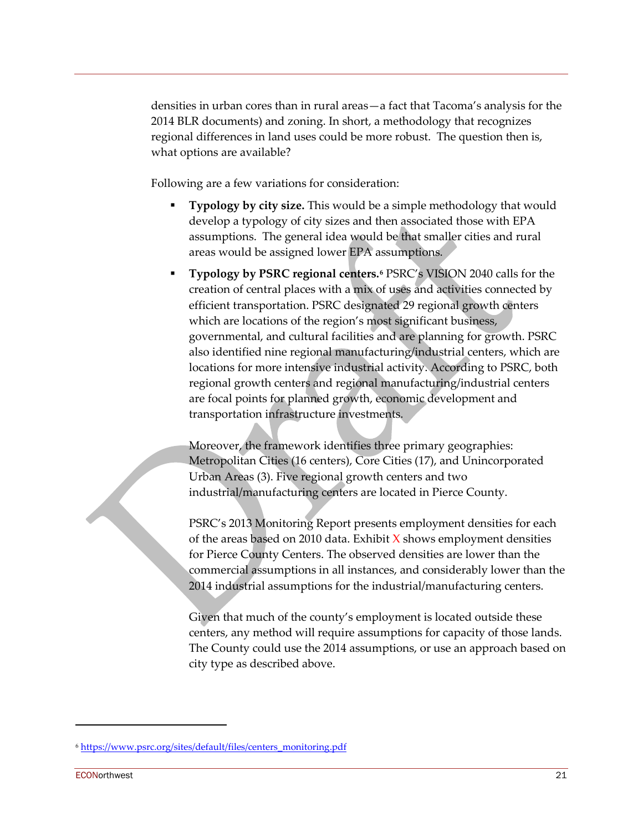densities in urban cores than in rural areas—a fact that Tacoma's analysis for the 2014 BLR documents) and zoning. In short, a methodology that recognizes regional differences in land uses could be more robust. The question then is, what options are available?

Following are a few variations for consideration:

- **Typology by city size.** This would be a simple methodology that would develop a typology of city sizes and then associated those with EPA assumptions. The general idea would be that smaller cities and rural areas would be assigned lower EPA assumptions.
- **Typology by PSRC regional centers.[6](#page-20-0)** PSRC's VISION 2040 calls for the creation of central places with a mix of uses and activities connected by efficient transportation. PSRC designated 29 regional growth centers which are locations of the region's most significant business, governmental, and cultural facilities and are planning for growth. PSRC also identified nine regional manufacturing/industrial centers, which are locations for more intensive industrial activity. According to PSRC, both regional growth centers and regional manufacturing/industrial centers are focal points for planned growth, economic development and transportation infrastructure investments.

Moreover, the framework identifies three primary geographies: Metropolitan Cities (16 centers), Core Cities (17), and Unincorporated Urban Areas (3). Five regional growth centers and two industrial/manufacturing centers are located in Pierce County.

PSRC's 2013 Monitoring Report presents employment densities for each of the areas based on 2010 data. Exhibit  $X$  shows employment densities for Pierce County Centers. The observed densities are lower than the commercial assumptions in all instances, and considerably lower than the 2014 industrial assumptions for the industrial/manufacturing centers.

Given that much of the county's employment is located outside these centers, any method will require assumptions for capacity of those lands. The County could use the 2014 assumptions, or use an approach based on city type as described above.

<span id="page-20-0"></span><sup>6</sup> [https://www.psrc.org/sites/default/files/centers\\_monitoring.pdf](https://www.psrc.org/sites/default/files/centers_monitoring.pdf)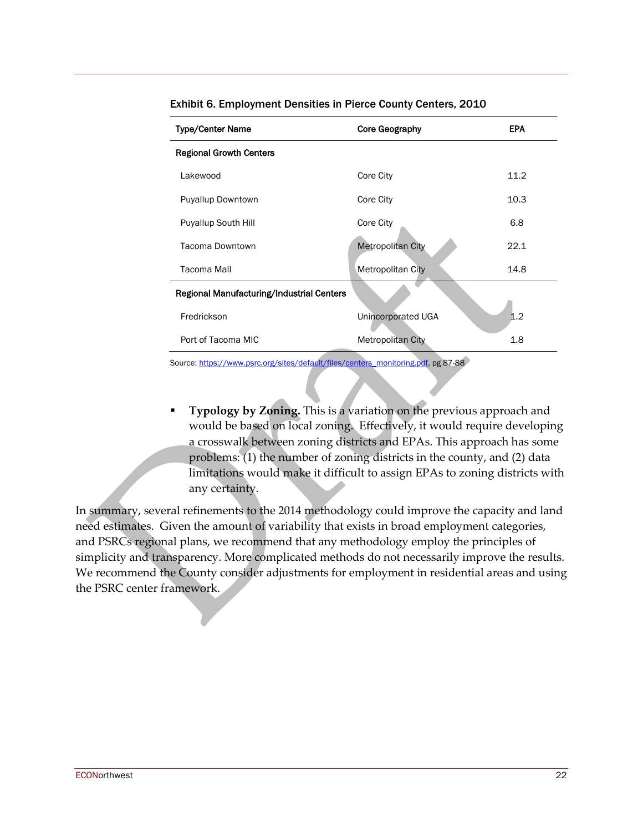| <b>Type/Center Name</b>                   | Core Geography           | <b>EPA</b> |
|-------------------------------------------|--------------------------|------------|
| <b>Regional Growth Centers</b>            |                          |            |
| Lakewood                                  | Core City                | 11.2       |
| <b>Puyallup Downtown</b>                  | Core City                | 10.3       |
| <b>Puyallup South Hill</b>                | Core City                | 6.8        |
| Tacoma Downtown                           | <b>Metropolitan City</b> | 22.1       |
| Tacoma Mall                               | Metropolitan City        | 14.8       |
| Regional Manufacturing/Industrial Centers |                          |            |
| Fredrickson                               | Unincorporated UGA       | 1.2        |
| Port of Tacoma MIC                        | <b>Metropolitan City</b> | 1.8        |

Exhibit 6. Employment Densities in Pierce County Centers, 2010

Source[: https://www.psrc.org/sites/default/files/centers\\_monitoring.pdf,](https://www.psrc.org/sites/default/files/centers_monitoring.pdf) pg 87-88

 **Typology by Zoning.** This is a variation on the previous approach and would be based on local zoning. Effectively, it would require developing a crosswalk between zoning districts and EPAs. This approach has some problems: (1) the number of zoning districts in the county, and (2) data limitations would make it difficult to assign EPAs to zoning districts with any certainty.

In summary, several refinements to the 2014 methodology could improve the capacity and land need estimates. Given the amount of variability that exists in broad employment categories, and PSRCs regional plans, we recommend that any methodology employ the principles of simplicity and transparency. More complicated methods do not necessarily improve the results. We recommend the County consider adjustments for employment in residential areas and using the PSRC center framework.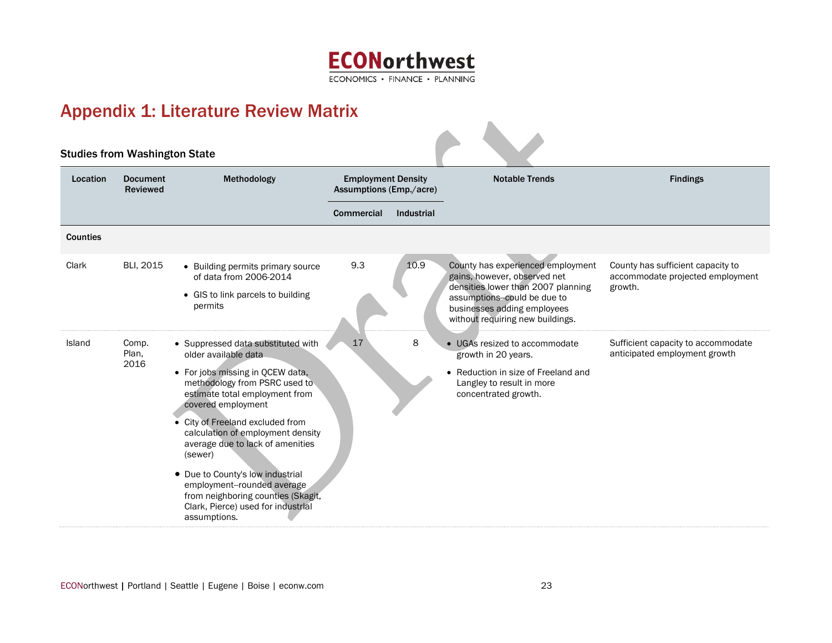

# Appendix 1: Literature Review Matrix

<span id="page-22-0"></span>

| <b>Studies from Washington State</b> |                             |                                                                                                                                                                                                                                                                                                                                                                                                                                                                                |                                                      |                   |                                                                                                                                                                                                           |                                                                                  |
|--------------------------------------|-----------------------------|--------------------------------------------------------------------------------------------------------------------------------------------------------------------------------------------------------------------------------------------------------------------------------------------------------------------------------------------------------------------------------------------------------------------------------------------------------------------------------|------------------------------------------------------|-------------------|-----------------------------------------------------------------------------------------------------------------------------------------------------------------------------------------------------------|----------------------------------------------------------------------------------|
| Location                             | <b>Document</b><br>Reviewed | Methodology                                                                                                                                                                                                                                                                                                                                                                                                                                                                    | <b>Employment Density</b><br>Assumptions (Emp./acre) |                   | <b>Notable Trends</b>                                                                                                                                                                                     | <b>Findings</b>                                                                  |
|                                      |                             |                                                                                                                                                                                                                                                                                                                                                                                                                                                                                | <b>Commercial</b>                                    | <b>Industrial</b> |                                                                                                                                                                                                           |                                                                                  |
| <b>Counties</b>                      |                             |                                                                                                                                                                                                                                                                                                                                                                                                                                                                                |                                                      |                   |                                                                                                                                                                                                           |                                                                                  |
| Clark                                | BLI, 2015                   | • Building permits primary source<br>of data from 2006-2014<br>• GIS to link parcels to building<br>permits                                                                                                                                                                                                                                                                                                                                                                    | 9.3                                                  | 10.9              | County has experienced employment<br>gains, however, observed net<br>densities lower than 2007 planning<br>assumptions-could be due to<br>businesses adding employees<br>without requiring new buildings. | County has sufficient capacity to<br>accommodate projected employment<br>growth. |
| Island                               | Comp.<br>Plan,<br>2016      | • Suppressed data substituted with<br>older available data<br>• For jobs missing in QCEW data,<br>methodology from PSRC used to<br>estimate total employment from<br>covered employment<br>• City of Freeland excluded from<br>calculation of employment density<br>average due to lack of amenities<br>(sewer)<br>• Due to County's low industrial<br>employment--rounded average<br>from neighboring counties (Skagit,<br>Clark, Pierce) used for industrial<br>assumptions. | 17                                                   | 8                 | • UGAs resized to accommodate<br>growth in 20 years.<br>• Reduction in size of Freeland and<br>Langley to result in more<br>concentrated growth.                                                          | Sufficient capacity to accommodate<br>anticipated employment growth              |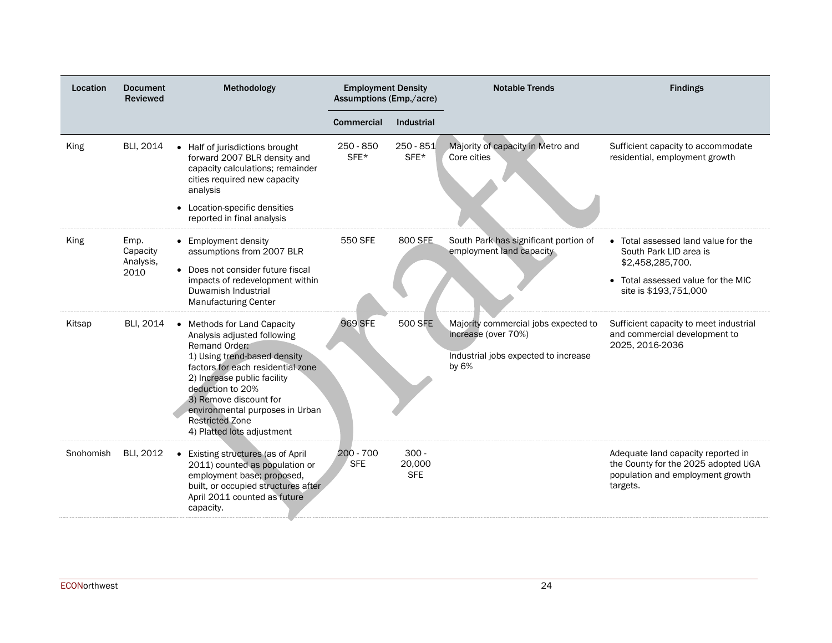| Location  | <b>Document</b><br><b>Reviewed</b>    | Methodology                                                                                                                                                                                                                                                                                                              | <b>Employment Density</b><br>Assumptions (Emp./acre) |                                 | <b>Notable Trends</b>                                                                                          | <b>Findings</b>                                                                                                                                  |
|-----------|---------------------------------------|--------------------------------------------------------------------------------------------------------------------------------------------------------------------------------------------------------------------------------------------------------------------------------------------------------------------------|------------------------------------------------------|---------------------------------|----------------------------------------------------------------------------------------------------------------|--------------------------------------------------------------------------------------------------------------------------------------------------|
|           |                                       |                                                                                                                                                                                                                                                                                                                          | Commercial                                           | Industrial                      |                                                                                                                |                                                                                                                                                  |
| King      | BLI, 2014                             | • Half of jurisdictions brought<br>forward 2007 BLR density and<br>capacity calculations; remainder<br>cities required new capacity<br>analysis<br>• Location-specific densities<br>reported in final analysis                                                                                                           | $250 - 850$<br>SFE*                                  | $250 - 851$<br>SFE*             | Majority of capacity in Metro and<br>Core cities                                                               | Sufficient capacity to accommodate<br>residential, employment growth                                                                             |
| King      | Emp.<br>Capacity<br>Analysis,<br>2010 | • Employment density<br>assumptions from 2007 BLR<br>• Does not consider future fiscal<br>impacts of redevelopment within<br>Duwamish Industrial<br><b>Manufacturing Center</b>                                                                                                                                          | 550 SFE                                              | 800 SFE                         | South Park has significant portion of<br>employment land capacity                                              | • Total assessed land value for the<br>South Park LID area is<br>\$2,458,285,700.<br>• Total assessed value for the MIC<br>site is \$193,751,000 |
| Kitsap    | BLI, 2014                             | • Methods for Land Capacity<br>Analysis adjusted following<br>Remand Order:<br>1) Using trend-based density<br>factors for each residential zone<br>2) Increase public facility<br>deduction to 20%<br>3) Remove discount for<br>environmental purposes in Urban<br><b>Restricted Zone</b><br>4) Platted lots adjustment | <b>969 SFE</b>                                       | <b>500 SFE</b>                  | Majority commercial jobs expected to<br>increase (over 70%)<br>Industrial jobs expected to increase<br>by $6%$ | Sufficient capacity to meet industrial<br>and commercial development to<br>2025, 2016-2036                                                       |
| Snohomish | BLI, 2012                             | • Existing structures (as of April<br>2011) counted as population or<br>employment base; proposed,<br>built, or occupied structures after<br>April 2011 counted as future<br>capacity.                                                                                                                                   | $200 - 700$<br><b>SFE</b>                            | $300 -$<br>20,000<br><b>SFE</b> |                                                                                                                | Adequate land capacity reported in<br>the County for the 2025 adopted UGA<br>population and employment growth<br>targets.                        |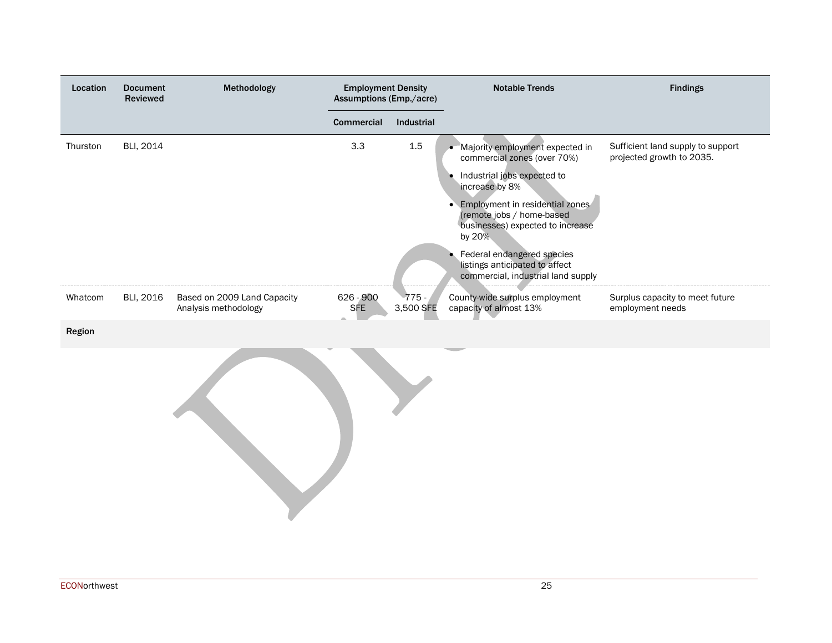| Location | <b>Document</b><br>Reviewed | Methodology                                         | <b>Employment Density</b><br>Assumptions (Emp./acre) |                      | <b>Notable Trends</b>                                                                                        | <b>Findings</b>                                                |
|----------|-----------------------------|-----------------------------------------------------|------------------------------------------------------|----------------------|--------------------------------------------------------------------------------------------------------------|----------------------------------------------------------------|
|          |                             |                                                     | Commercial                                           | Industrial           |                                                                                                              |                                                                |
| Thurston | BLI, 2014                   |                                                     | 3.3                                                  | $1.5\,$              | • Majority employment expected in<br>commercial zones (over 70%)                                             | Sufficient land supply to support<br>projected growth to 2035. |
|          |                             |                                                     |                                                      |                      | Industrial jobs expected to<br>increase by 8%                                                                |                                                                |
|          |                             |                                                     |                                                      |                      | • Employment in residential zones<br>(remote jobs / home-based<br>businesses) expected to increase<br>by 20% |                                                                |
|          |                             |                                                     |                                                      |                      | • Federal endangered species<br>listings anticipated to affect<br>commercial, industrial land supply         |                                                                |
| Whatcom  | BLI, 2016                   | Based on 2009 Land Capacity<br>Analysis methodology | 626 - 900<br><b>SFE</b>                              | $775 -$<br>3,500 SFE | County-wide surplus employment<br>capacity of almost 13%                                                     | Surplus capacity to meet future<br>employment needs            |
| Region   |                             |                                                     |                                                      |                      |                                                                                                              |                                                                |
|          |                             |                                                     |                                                      |                      |                                                                                                              |                                                                |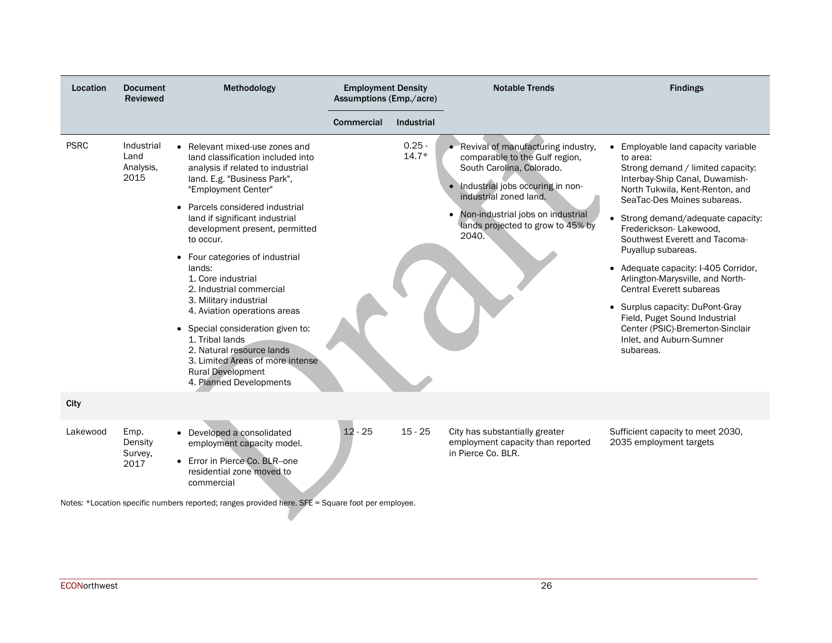| Location            | <b>Document</b><br><b>Reviewed</b>      | Methodology                                                                                                                                                                                                                                                                                                                                                                                                                                                                                                                                                                                                             | <b>Employment Density</b><br>Assumptions (Emp./acre) |                     | <b>Notable Trends</b>                                                                                                                                                                                                                              | <b>Findings</b>                                                                                                                                                                                                                                                                                                                                                                                                                                                                                                                                                          |
|---------------------|-----------------------------------------|-------------------------------------------------------------------------------------------------------------------------------------------------------------------------------------------------------------------------------------------------------------------------------------------------------------------------------------------------------------------------------------------------------------------------------------------------------------------------------------------------------------------------------------------------------------------------------------------------------------------------|------------------------------------------------------|---------------------|----------------------------------------------------------------------------------------------------------------------------------------------------------------------------------------------------------------------------------------------------|--------------------------------------------------------------------------------------------------------------------------------------------------------------------------------------------------------------------------------------------------------------------------------------------------------------------------------------------------------------------------------------------------------------------------------------------------------------------------------------------------------------------------------------------------------------------------|
|                     |                                         |                                                                                                                                                                                                                                                                                                                                                                                                                                                                                                                                                                                                                         | <b>Commercial</b>                                    | <b>Industrial</b>   |                                                                                                                                                                                                                                                    |                                                                                                                                                                                                                                                                                                                                                                                                                                                                                                                                                                          |
| <b>PSRC</b><br>City | Industrial<br>Land<br>Analysis,<br>2015 | • Relevant mixed-use zones and<br>land classification included into<br>analysis if related to industrial<br>land. E.g. "Business Park",<br>"Employment Center"<br>Parcels considered industrial<br>land if significant industrial<br>development present, permitted<br>to occur.<br>Four categories of industrial<br>lands:<br>1. Core industrial<br>2. Industrial commercial<br>3. Military industrial<br>4. Aviation operations areas<br>• Special consideration given to:<br>1. Tribal lands<br>2. Natural resource lands<br>3. Limited Areas of more intense<br><b>Rural Development</b><br>4. Planned Developments |                                                      | $0.25 -$<br>$14.7*$ | Revival of manufacturing industry,<br>comparable to the Gulf region,<br>South Carolina, Colorado.<br>Industrial jobs occuring in non-<br>industrial zoned land.<br>Non-industrial jobs on industrial<br>lands projected to grow to 45% by<br>2040. | • Employable land capacity variable<br>to area:<br>Strong demand / limited capacity:<br>Interbay-Ship Canal, Duwamish-<br>North Tukwila, Kent-Renton, and<br>SeaTac-Des Moines subareas.<br>• Strong demand/adequate capacity:<br>Frederickson-Lakewood,<br>Southwest Everett and Tacoma-<br>Puyallup subareas.<br>• Adequate capacity: I-405 Corridor,<br>Arlington-Marysville, and North-<br>Central Everett subareas<br>• Surplus capacity: DuPont-Gray<br>Field, Puget Sound Industrial<br>Center (PSIC)-Bremerton-Sinclair<br>Inlet, and Auburn-Sumner<br>subareas. |
| Lakewood            | Emp.<br>Density<br>Survey,<br>2017      | • Developed a consolidated<br>employment capacity model.<br>• Error in Pierce Co. BLR--one<br>residential zone moved to<br>commercial<br>Notes: *Location specific numbers reported; ranges provided here. SFE = Square foot per employee.                                                                                                                                                                                                                                                                                                                                                                              | $12 - 25$                                            | $15 - 25$           | City has substantially greater<br>employment capacity than reported<br>in Pierce Co. BLR.                                                                                                                                                          | Sufficient capacity to meet 2030,<br>2035 employment targets                                                                                                                                                                                                                                                                                                                                                                                                                                                                                                             |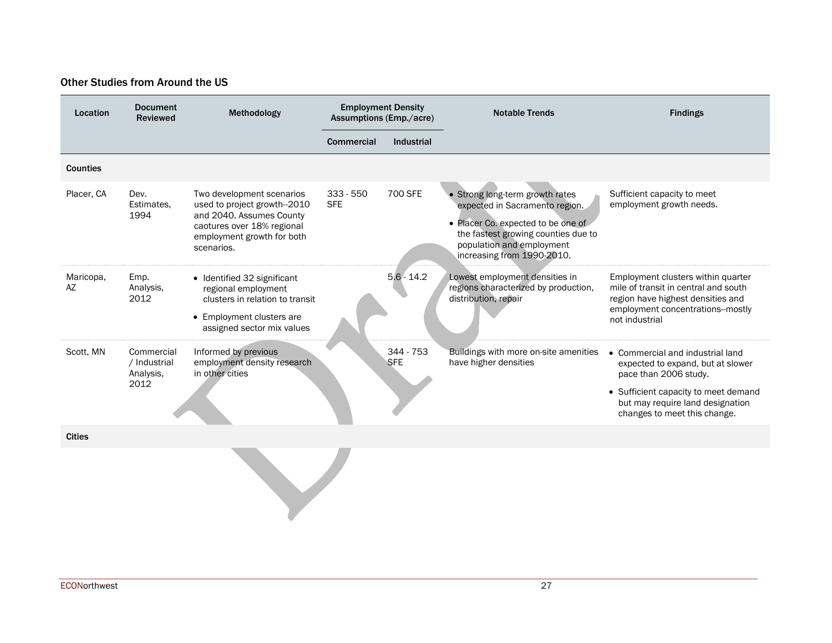#### Other Studies from Around the US

| Location        | <b>Document</b><br><b>Reviewed</b>              | Methodology                                                                                                                                                     | <b>Employment Density</b><br>Assumptions (Emp./acre) |                           | <b>Notable Trends</b>                                                                                                                                                                                     | <b>Findings</b>                                                                                                                                                                                                       |
|-----------------|-------------------------------------------------|-----------------------------------------------------------------------------------------------------------------------------------------------------------------|------------------------------------------------------|---------------------------|-----------------------------------------------------------------------------------------------------------------------------------------------------------------------------------------------------------|-----------------------------------------------------------------------------------------------------------------------------------------------------------------------------------------------------------------------|
|                 |                                                 |                                                                                                                                                                 | Commercial                                           | Industrial                |                                                                                                                                                                                                           |                                                                                                                                                                                                                       |
| <b>Counties</b> |                                                 |                                                                                                                                                                 |                                                      |                           |                                                                                                                                                                                                           |                                                                                                                                                                                                                       |
| Placer, CA      | Dev.<br>Estimates,<br>1994                      | Two development scenarios<br>used to project growth--2010<br>and 2040. Assumes County<br>caotures over 18% regional<br>employment growth for both<br>scenarios. | $333 - 550$<br><b>SFE</b>                            | 700 SFE                   | · Strong long-term growth rates<br>expected in Sacramento region.<br>• Placer Co. expected to be one of<br>the fastest growing counties due to<br>population and employment<br>increasing from 1990-2010. | Sufficient capacity to meet<br>employment growth needs.                                                                                                                                                               |
| Maricopa,<br>AZ | Emp.<br>Analysis,<br>2012                       | • Identified 32 significant<br>regional employment<br>clusters in relation to transit<br>• Employment clusters are<br>assigned sector mix values                |                                                      | $5.6 - 14.2$              | Lowest employment densities in<br>regions characterized by production,<br>distribution, repair                                                                                                            | Employment clusters within quarter<br>mile of transit in central and south<br>region have highest densities and<br>employment concentrations--mostly<br>not industrial                                                |
| Scott. MN       | Commercial<br>/ Industrial<br>Analysis,<br>2012 | Informed by previous<br>employment density research<br>in other cities                                                                                          |                                                      | $344 - 753$<br><b>SFE</b> | Buildings with more on-site amenities<br>have higher densities                                                                                                                                            | Commercial and industrial land<br>$\bullet$<br>expected to expand, but at slower<br>pace than 2006 study.<br>• Sufficient capacity to meet demand<br>but may require land designation<br>changes to meet this change. |
| <b>Cities</b>   |                                                 |                                                                                                                                                                 |                                                      |                           |                                                                                                                                                                                                           |                                                                                                                                                                                                                       |
|                 |                                                 |                                                                                                                                                                 |                                                      |                           |                                                                                                                                                                                                           |                                                                                                                                                                                                                       |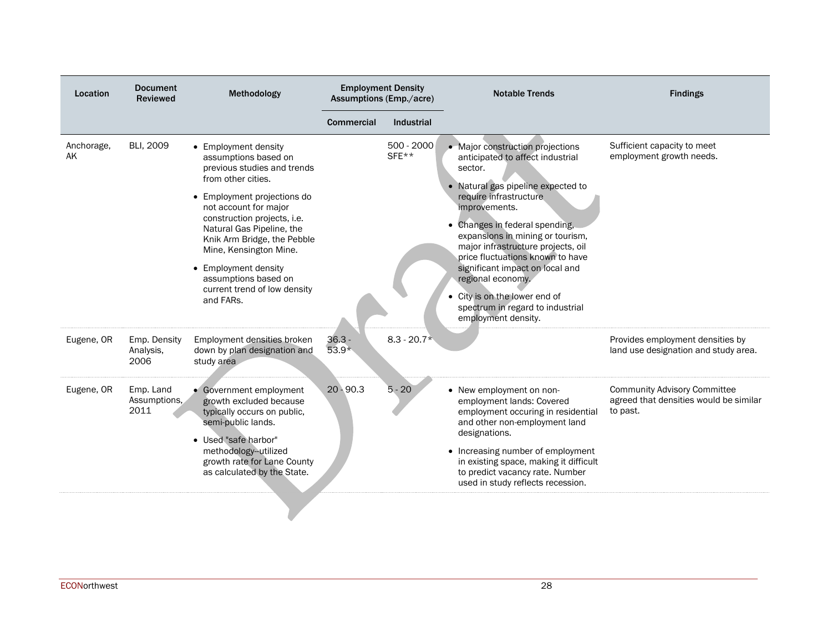| Location         | <b>Document</b><br><b>Reviewed</b> | Methodology                                                                                                                                                                                                                                                                                                                                                                 |                     | <b>Employment Density</b><br>Assumptions (Emp./acre) | <b>Notable Trends</b>                                                                                                                                                                                                                                                                                                                                                                                                                                                | <b>Findings</b>                                                                           |
|------------------|------------------------------------|-----------------------------------------------------------------------------------------------------------------------------------------------------------------------------------------------------------------------------------------------------------------------------------------------------------------------------------------------------------------------------|---------------------|------------------------------------------------------|----------------------------------------------------------------------------------------------------------------------------------------------------------------------------------------------------------------------------------------------------------------------------------------------------------------------------------------------------------------------------------------------------------------------------------------------------------------------|-------------------------------------------------------------------------------------------|
|                  |                                    |                                                                                                                                                                                                                                                                                                                                                                             | <b>Commercial</b>   | <b>Industrial</b>                                    |                                                                                                                                                                                                                                                                                                                                                                                                                                                                      |                                                                                           |
| Anchorage,<br>AK | <b>BLI, 2009</b>                   | • Employment density<br>assumptions based on<br>previous studies and trends<br>from other cities.<br>• Employment projections do<br>not account for major<br>construction projects, i.e.<br>Natural Gas Pipeline, the<br>Knik Arm Bridge, the Pebble<br>Mine, Kensington Mine.<br>• Employment density<br>assumptions based on<br>current trend of low density<br>and FARs. |                     | 500 - 2000<br>$SFE**$                                | • Major construction projections<br>anticipated to affect industrial<br>sector.<br>• Natural gas pipeline expected to<br>require infrastructure<br>improvements.<br>• Changes in federal spending,<br>expansions in mining or tourism,<br>major infrastructure projects, oil<br>price fluctuations known to have<br>significant impact on local and<br>regional economy.<br>• City is on the lower end of<br>spectrum in regard to industrial<br>employment density. | Sufficient capacity to meet<br>employment growth needs.                                   |
| Eugene, OR       | Emp. Density<br>Analysis,<br>2006  | Employment densities broken<br>down by plan designation and<br>study area                                                                                                                                                                                                                                                                                                   | $36.3 -$<br>$53.9*$ | $8.3 - 20.7*$                                        |                                                                                                                                                                                                                                                                                                                                                                                                                                                                      | Provides employment densities by<br>land use designation and study area.                  |
| Eugene, OR       | Emp. Land<br>Assumptions,<br>2011  | • Government employment<br>growth excluded because<br>typically occurs on public,<br>semi-public lands.<br>• Used "safe harbor"<br>methodology-utilized<br>growth rate for Lane County<br>as calculated by the State.                                                                                                                                                       | $20 - 90.3$         | $5 - 20$                                             | • New employment on non-<br>employment lands: Covered<br>employment occuring in residential<br>and other non-employment land<br>designations.<br>• Increasing number of employment<br>in existing space, making it difficult<br>to predict vacancy rate. Number<br>used in study reflects recession.                                                                                                                                                                 | <b>Community Advisory Committee</b><br>agreed that densities would be similar<br>to past. |
|                  |                                    |                                                                                                                                                                                                                                                                                                                                                                             |                     |                                                      |                                                                                                                                                                                                                                                                                                                                                                                                                                                                      |                                                                                           |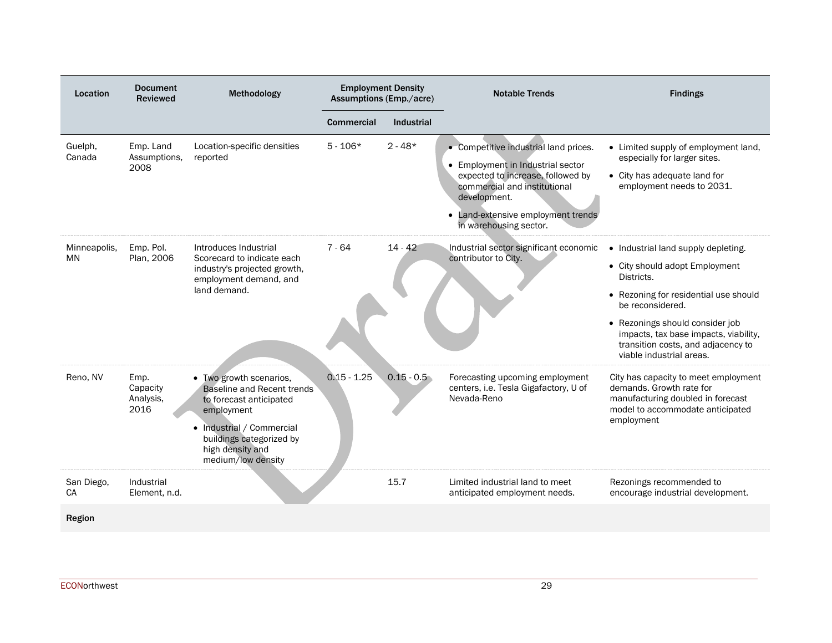| Location                | <b>Document</b><br><b>Reviewed</b>    | Methodology                                                                                                                                                                                              |                   | <b>Employment Density</b><br>Assumptions (Emp./acre) | <b>Notable Trends</b>                                                                                                                                                                                                           | <b>Findings</b>                                                                                                                                                                                                                                                                                |
|-------------------------|---------------------------------------|----------------------------------------------------------------------------------------------------------------------------------------------------------------------------------------------------------|-------------------|------------------------------------------------------|---------------------------------------------------------------------------------------------------------------------------------------------------------------------------------------------------------------------------------|------------------------------------------------------------------------------------------------------------------------------------------------------------------------------------------------------------------------------------------------------------------------------------------------|
|                         |                                       |                                                                                                                                                                                                          | <b>Commercial</b> | <b>Industrial</b>                                    |                                                                                                                                                                                                                                 |                                                                                                                                                                                                                                                                                                |
| Guelph.<br>Canada       | Emp. Land<br>Assumptions,<br>2008     | Location-specific densities<br>reported                                                                                                                                                                  | $5 - 106*$        | $2 - 48*$                                            | • Competitive industrial land prices.<br>• Employment in Industrial sector<br>expected to increase, followed by<br>commercial and institutional<br>development.<br>• Land-extensive employment trends<br>in warehousing sector. | • Limited supply of employment land,<br>especially for larger sites.<br>• City has adequate land for<br>employment needs to 2031.                                                                                                                                                              |
| Minneapolis,<br>MN      | Emp. Pol.<br>Plan, 2006               | Introduces Industrial<br>Scorecard to indicate each<br>industry's projected growth,<br>employment demand, and<br>land demand.                                                                            | $7 - 64$          | $14 - 42$                                            | Industrial sector significant economic<br>contributor to City.                                                                                                                                                                  | • Industrial land supply depleting.<br>• City should adopt Employment<br>Districts.<br>• Rezoning for residential use should<br>be reconsidered.<br>• Rezonings should consider job<br>impacts, tax base impacts, viability,<br>transition costs, and adjacency to<br>viable industrial areas. |
| Reno. NV                | Emp.<br>Capacity<br>Analysis,<br>2016 | • Two growth scenarios,<br><b>Baseline and Recent trends</b><br>to forecast anticipated<br>employment<br>• Industrial / Commercial<br>buildings categorized by<br>high density and<br>medium/low density | $0.15 - 1.25$     | $0.15 - 0.5$                                         | Forecasting upcoming employment<br>centers, i.e. Tesla Gigafactory, U of<br>Nevada-Reno                                                                                                                                         | City has capacity to meet employment<br>demands. Growth rate for<br>manufacturing doubled in forecast<br>model to accommodate anticipated<br>employment                                                                                                                                        |
| San Diego,<br><b>CA</b> | Industrial<br>Element, n.d.           |                                                                                                                                                                                                          |                   | 15.7                                                 | Limited industrial land to meet<br>anticipated employment needs.                                                                                                                                                                | Rezonings recommended to<br>encourage industrial development.                                                                                                                                                                                                                                  |
| Region                  |                                       |                                                                                                                                                                                                          |                   |                                                      |                                                                                                                                                                                                                                 |                                                                                                                                                                                                                                                                                                |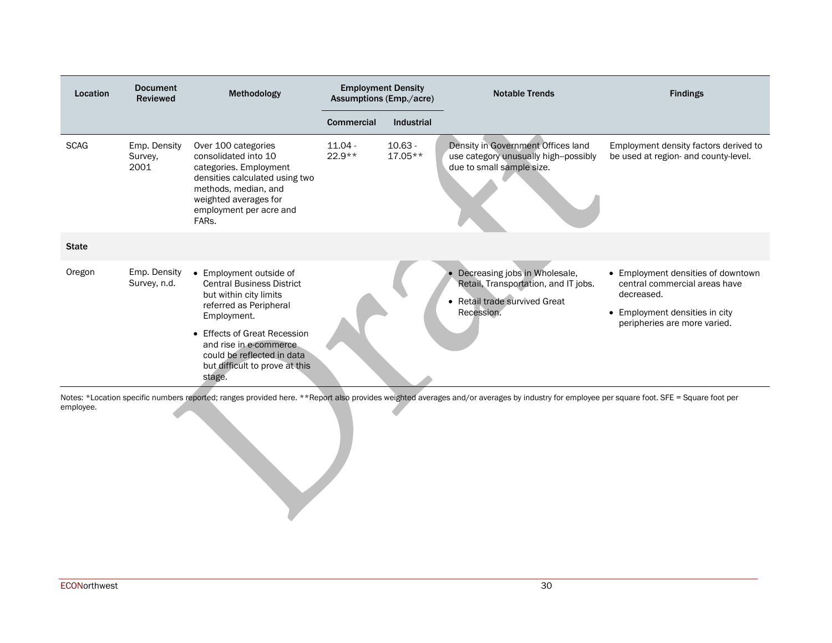| Location     | <b>Document</b><br><b>Reviewed</b> | Methodology                                                                                                                                                                                                                                                         | <b>Employment Density</b><br><b>Assumptions (Emp./acre)</b> |                        | <b>Notable Trends</b>                                                                                                | <b>Findings</b>                                                                                                                                     |
|--------------|------------------------------------|---------------------------------------------------------------------------------------------------------------------------------------------------------------------------------------------------------------------------------------------------------------------|-------------------------------------------------------------|------------------------|----------------------------------------------------------------------------------------------------------------------|-----------------------------------------------------------------------------------------------------------------------------------------------------|
|              |                                    |                                                                                                                                                                                                                                                                     | <b>Commercial</b>                                           | Industrial             |                                                                                                                      |                                                                                                                                                     |
| <b>SCAG</b>  | Emp. Density<br>Survey,<br>2001    | Over 100 categories<br>consolidated into 10<br>categories. Employment<br>densities calculated using two<br>methods, median, and<br>weighted averages for<br>employment per acre and<br>FARs.                                                                        | $11.04 -$<br>$22.9**$                                       | $10.63 -$<br>$17.05**$ | Density in Government Offices land<br>use category unusually high-possibly<br>due to small sample size.              | Employment density factors derived to<br>be used at region- and county-level.                                                                       |
| <b>State</b> |                                    |                                                                                                                                                                                                                                                                     |                                                             |                        |                                                                                                                      |                                                                                                                                                     |
| Oregon       | Emp. Density<br>Survey, n.d.       | • Employment outside of<br><b>Central Business District</b><br>but within city limits<br>referred as Peripheral<br>Employment.<br>• Effects of Great Recession<br>and rise in e-commerce.<br>could be reflected in data<br>but difficult to prove at this<br>stage. |                                                             |                        | Decreasing jobs in Wholesale,<br>Retail, Transportation, and IT jobs.<br>• Retail trade survived Great<br>Recession. | • Employment densities of downtown<br>central commercial areas have<br>decreased.<br>• Employment densities in city<br>peripheries are more varied. |

<span id="page-29-0"></span>Notes: \*Location specific numbers reported; ranges provided here. \*\*Report also provides weighted averages and/or averages by industry for employee per square foot. SFE = Square foot per employee.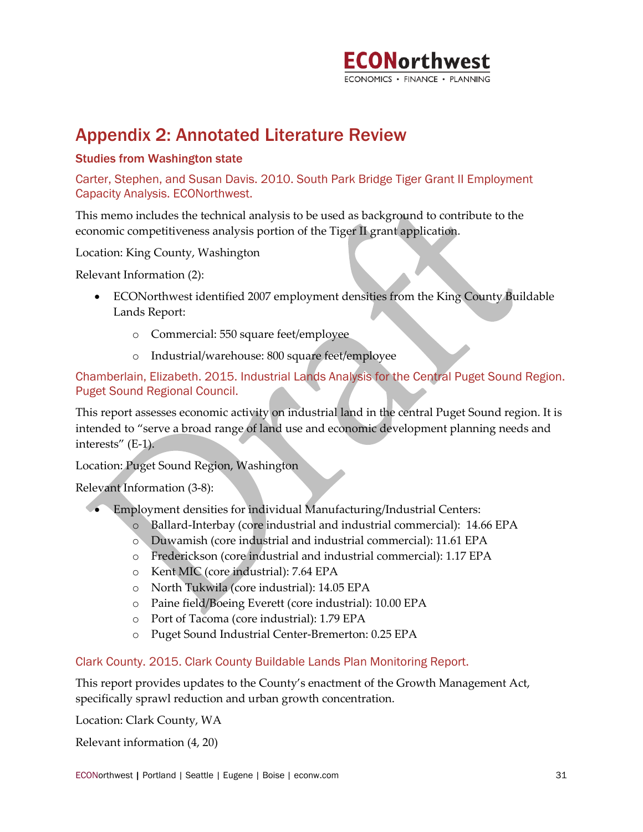

# Appendix 2: Annotated Literature Review

#### Studies from Washington state

Carter, Stephen, and Susan Davis. 2010. South Park Bridge Tiger Grant II Employment Capacity Analysis. ECONorthwest.

This memo includes the technical analysis to be used as background to contribute to the economic competitiveness analysis portion of the Tiger II grant application.

Location: King County, Washington

Relevant Information (2):

- ECONorthwest identified 2007 employment densities from the King County Buildable Lands Report:
	- o Commercial: 550 square feet/employee
	- o Industrial/warehouse: 800 square feet/employee

Chamberlain, Elizabeth. 2015. Industrial Lands Analysis for the Central Puget Sound Region. Puget Sound Regional Council.

This report assesses economic activity on industrial land in the central Puget Sound region. It is intended to "serve a broad range of land use and economic development planning needs and interests" (E-1).

Location: Puget Sound Region, Washington

Relevant Information (3-8):

- Employment densities for individual Manufacturing/Industrial Centers:
	- o Ballard-Interbay (core industrial and industrial commercial): 14.66 EPA
	- o Duwamish (core industrial and industrial commercial): 11.61 EPA
	- o Frederickson (core industrial and industrial commercial): 1.17 EPA
	- o Kent MIC (core industrial): 7.64 EPA
	- o North Tukwila (core industrial): 14.05 EPA
	- o Paine field/Boeing Everett (core industrial): 10.00 EPA
	- o Port of Tacoma (core industrial): 1.79 EPA
	- o Puget Sound Industrial Center-Bremerton: 0.25 EPA

#### Clark County. 2015. Clark County Buildable Lands Plan Monitoring Report.

This report provides updates to the County's enactment of the Growth Management Act, specifically sprawl reduction and urban growth concentration.

Location: Clark County, WA

Relevant information (4, 20)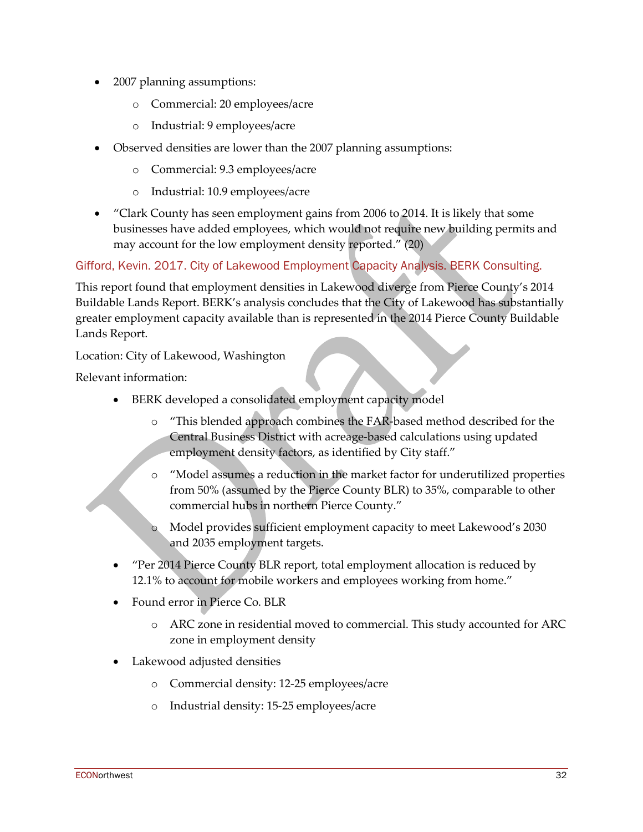- 2007 planning assumptions:
	- o Commercial: 20 employees/acre
	- o Industrial: 9 employees/acre
- Observed densities are lower than the 2007 planning assumptions:
	- o Commercial: 9.3 employees/acre
	- o Industrial: 10.9 employees/acre
- "Clark County has seen employment gains from 2006 to 2014. It is likely that some businesses have added employees, which would not require new building permits and may account for the low employment density reported." (20)

Gifford, Kevin. 2017. City of Lakewood Employment Capacity Analysis. BERK Consulting.

This report found that employment densities in Lakewood diverge from Pierce County's 2014 Buildable Lands Report. BERK's analysis concludes that the City of Lakewood has substantially greater employment capacity available than is represented in the 2014 Pierce County Buildable Lands Report.

Location: City of Lakewood, Washington

Relevant information:

- BERK developed a consolidated employment capacity model
	- o "This blended approach combines the FAR-based method described for the Central Business District with acreage-based calculations using updated employment density factors, as identified by City staff."
	- o "Model assumes a reduction in the market factor for underutilized properties from 50% (assumed by the Pierce County BLR) to 35%, comparable to other commercial hubs in northern Pierce County."
	- o Model provides sufficient employment capacity to meet Lakewood's 2030 and 2035 employment targets.
- "Per 2014 Pierce County BLR report, total employment allocation is reduced by 12.1% to account for mobile workers and employees working from home."
- Found error in Pierce Co. BLR
	- o ARC zone in residential moved to commercial. This study accounted for ARC zone in employment density
- Lakewood adjusted densities
	- o Commercial density: 12-25 employees/acre
	- o Industrial density: 15-25 employees/acre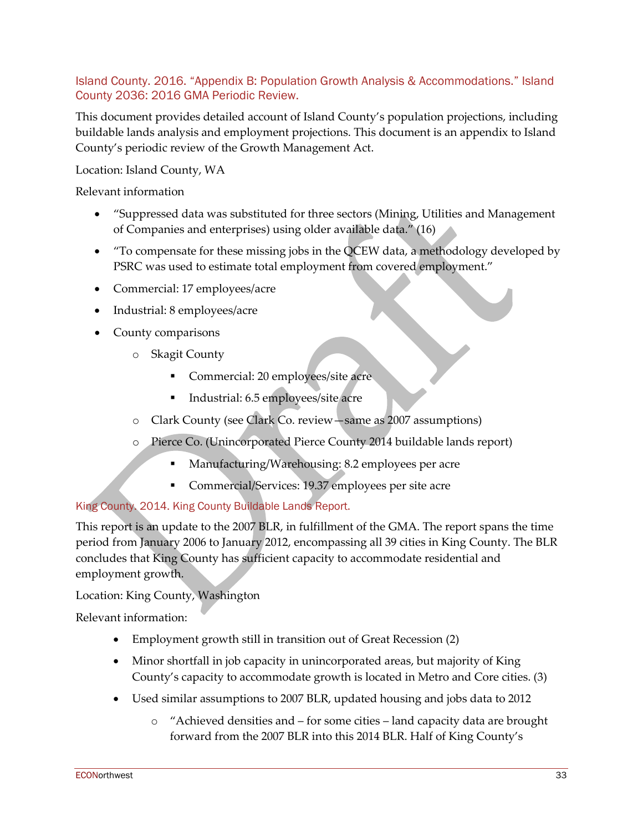### Island County. 2016. "Appendix B: Population Growth Analysis & Accommodations." Island County 2036: 2016 GMA Periodic Review.

This document provides detailed account of Island County's population projections, including buildable lands analysis and employment projections. This document is an appendix to Island County's periodic review of the Growth Management Act.

Location: Island County, WA

Relevant information

- "Suppressed data was substituted for three sectors (Mining, Utilities and Management of Companies and enterprises) using older available data." (16)
- "To compensate for these missing jobs in the QCEW data, a methodology developed by PSRC was used to estimate total employment from covered employment."
- Commercial: 17 employees/acre
- Industrial: 8 employees/acre
- County comparisons
	- o Skagit County
		- Commercial: 20 employees/site acre
		- **Industrial: 6.5 employees/site acre**
	- o Clark County (see Clark Co. review—same as 2007 assumptions)
	- o Pierce Co. (Unincorporated Pierce County 2014 buildable lands report)
		- Manufacturing/Warehousing: 8.2 employees per acre
		- **Commercial/Services: 19.37 employees per site acre**

# King County. 2014. King County Buildable Lands Report.

This report is an update to the 2007 BLR, in fulfillment of the GMA. The report spans the time period from January 2006 to January 2012, encompassing all 39 cities in King County. The BLR concludes that King County has sufficient capacity to accommodate residential and employment growth.

# Location: King County, Washington

Relevant information:

- Employment growth still in transition out of Great Recession (2)
- Minor shortfall in job capacity in unincorporated areas, but majority of King County's capacity to accommodate growth is located in Metro and Core cities. (3)
- Used similar assumptions to 2007 BLR, updated housing and jobs data to 2012
	- o "Achieved densities and for some cities land capacity data are brought forward from the 2007 BLR into this 2014 BLR. Half of King County's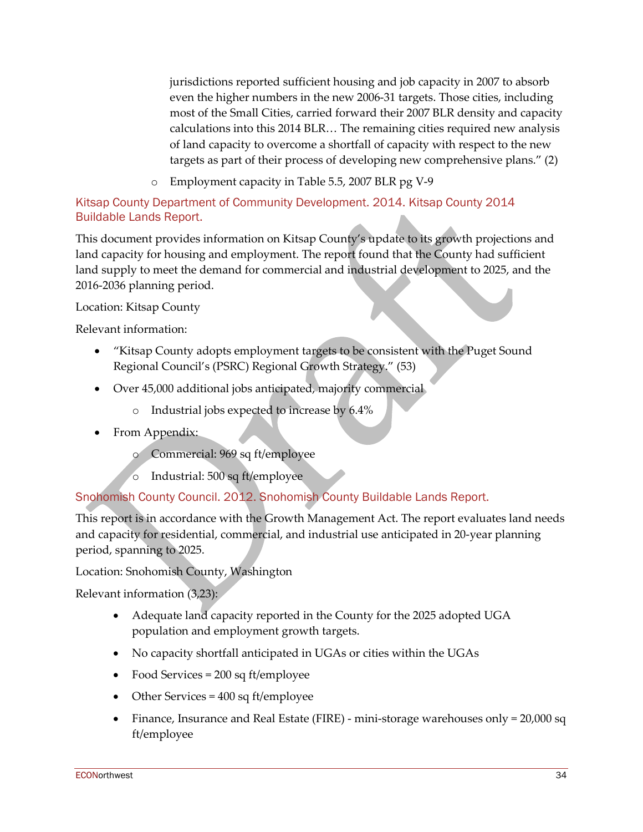jurisdictions reported sufficient housing and job capacity in 2007 to absorb even the higher numbers in the new 2006-31 targets. Those cities, including most of the Small Cities, carried forward their 2007 BLR density and capacity calculations into this 2014 BLR… The remaining cities required new analysis of land capacity to overcome a shortfall of capacity with respect to the new targets as part of their process of developing new comprehensive plans." (2)

o Employment capacity in Table 5.5, 2007 BLR pg V-9

# Kitsap County Department of Community Development. 2014. Kitsap County 2014 Buildable Lands Report.

This document provides information on Kitsap County's update to its growth projections and land capacity for housing and employment. The report found that the County had sufficient land supply to meet the demand for commercial and industrial development to 2025, and the 2016-2036 planning period.

### Location: Kitsap County

Relevant information:

- "Kitsap County adopts employment targets to be consistent with the Puget Sound Regional Council's (PSRC) Regional Growth Strategy." (53)
- Over 45,000 additional jobs anticipated, majority commercial
	- o Industrial jobs expected to increase by 6.4%
- From Appendix:
	- o Commercial: 969 sq ft/employee
	- o Industrial: 500 sq ft/employee

# Snohomish County Council. 2012. Snohomish County Buildable Lands Report.

This report is in accordance with the Growth Management Act. The report evaluates land needs and capacity for residential, commercial, and industrial use anticipated in 20-year planning period, spanning to 2025.

Location: Snohomish County, Washington

Relevant information (3,23):

- Adequate land capacity reported in the County for the 2025 adopted UGA population and employment growth targets.
- No capacity shortfall anticipated in UGAs or cities within the UGAs
- Food Services = 200 sq ft/employee
- Other Services = 400 sq ft/employee
- Finance, Insurance and Real Estate (FIRE) mini-storage warehouses only  $= 20,000$  sq ft/employee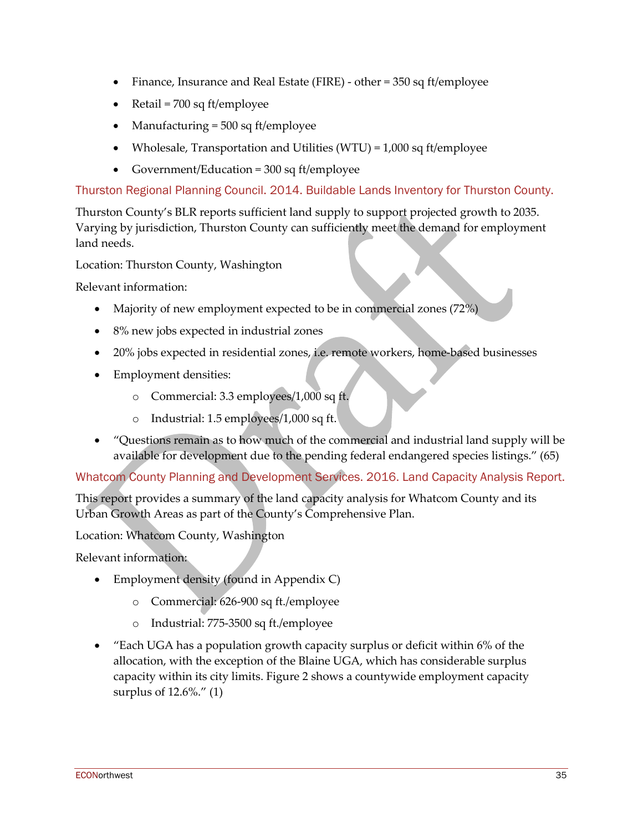- Finance, Insurance and Real Estate (FIRE) other = 350 sq ft/employee
- Retail = 700 sq ft/employee
- Manufacturing = 500 sq ft/employee
- Wholesale, Transportation and Utilities (WTU) =  $1,000$  sq ft/employee
- Government/Education = 300 sq ft/employee

Thurston Regional Planning Council. 2014. Buildable Lands Inventory for Thurston County.

Thurston County's BLR reports sufficient land supply to support projected growth to 2035. Varying by jurisdiction, Thurston County can sufficiently meet the demand for employment land needs.

Location: Thurston County, Washington

Relevant information:

- Majority of new employment expected to be in commercial zones (72%)
- 8% new jobs expected in industrial zones
- 20% jobs expected in residential zones, i.e. remote workers, home-based businesses
- Employment densities:
	- o Commercial: 3.3 employees/1,000 sq ft.
	- o Industrial: 1.5 employees/1,000 sq ft.
- "Questions remain as to how much of the commercial and industrial land supply will be available for development due to the pending federal endangered species listings." (65)

Whatcom County Planning and Development Services. 2016. Land Capacity Analysis Report.

This report provides a summary of the land capacity analysis for Whatcom County and its Urban Growth Areas as part of the County's Comprehensive Plan.

Location: Whatcom County, Washington

Relevant information:

- Employment density (found in Appendix C)
	- o Commercial: 626-900 sq ft./employee
	- o Industrial: 775-3500 sq ft./employee
- "Each UGA has a population growth capacity surplus or deficit within 6% of the allocation, with the exception of the Blaine UGA, which has considerable surplus capacity within its city limits. Figure 2 shows a countywide employment capacity surplus of 12.6%." (1)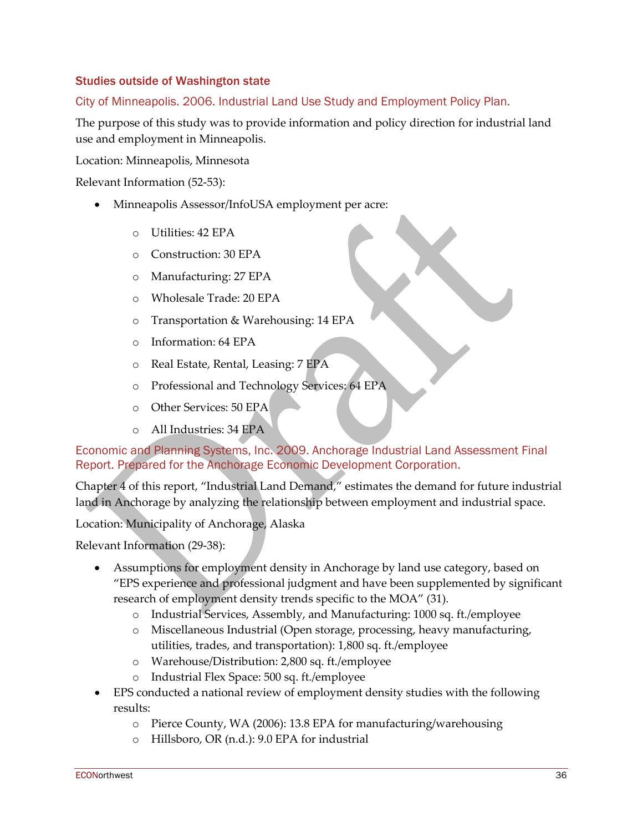### Studies outside of Washington state

### City of Minneapolis. 2006. Industrial Land Use Study and Employment Policy Plan.

The purpose of this study was to provide information and policy direction for industrial land use and employment in Minneapolis.

Location: Minneapolis, Minnesota

Relevant Information (52-53):

- Minneapolis Assessor/InfoUSA employment per acre:
	- o Utilities: 42 EPA
	- o Construction: 30 EPA
	- o Manufacturing: 27 EPA
	- o Wholesale Trade: 20 EPA
	- o Transportation & Warehousing: 14 EPA
	- o Information: 64 EPA
	- o Real Estate, Rental, Leasing: 7 EPA
	- o Professional and Technology Services: 64 EPA
	- o Other Services: 50 EPA
	- o All Industries: 34 EPA

Economic and Planning Systems, Inc. 2009. Anchorage Industrial Land Assessment Final Report. Prepared for the Anchorage Economic Development Corporation.

Chapter 4 of this report, "Industrial Land Demand," estimates the demand for future industrial land in Anchorage by analyzing the relationship between employment and industrial space.

Location: Municipality of Anchorage, Alaska

Relevant Information (29-38):

- Assumptions for employment density in Anchorage by land use category, based on "EPS experience and professional judgment and have been supplemented by significant research of employment density trends specific to the MOA" (31).
	- o Industrial Services, Assembly, and Manufacturing: 1000 sq. ft./employee
	- o Miscellaneous Industrial (Open storage, processing, heavy manufacturing, utilities, trades, and transportation): 1,800 sq. ft./employee
	- o Warehouse/Distribution: 2,800 sq. ft./employee
	- o Industrial Flex Space: 500 sq. ft./employee
- EPS conducted a national review of employment density studies with the following results:
	- o Pierce County, WA (2006): 13.8 EPA for manufacturing/warehousing
	- o Hillsboro, OR (n.d.): 9.0 EPA for industrial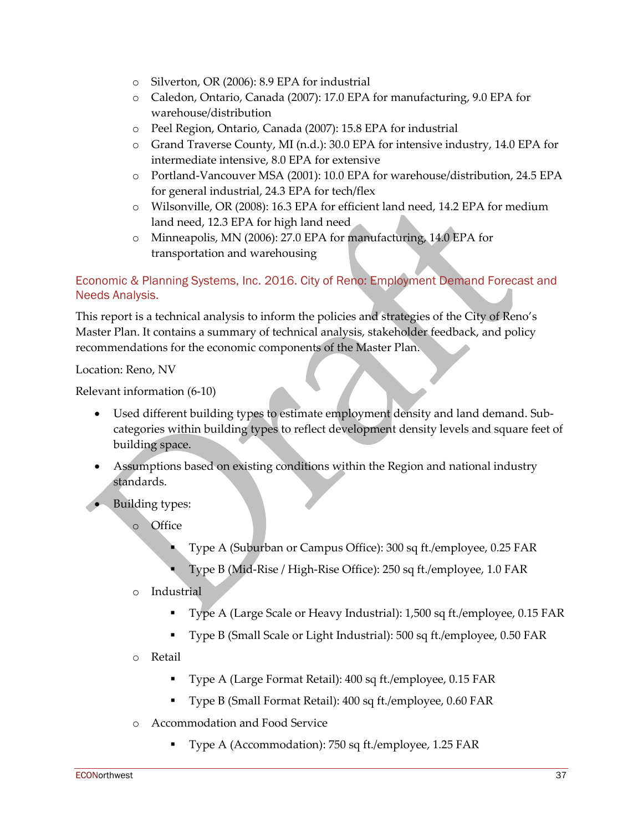- o Silverton, OR (2006): 8.9 EPA for industrial
- o Caledon, Ontario, Canada (2007): 17.0 EPA for manufacturing, 9.0 EPA for warehouse/distribution
- o Peel Region, Ontario, Canada (2007): 15.8 EPA for industrial
- o Grand Traverse County, MI (n.d.): 30.0 EPA for intensive industry, 14.0 EPA for intermediate intensive, 8.0 EPA for extensive
- o Portland-Vancouver MSA (2001): 10.0 EPA for warehouse/distribution, 24.5 EPA for general industrial, 24.3 EPA for tech/flex
- o Wilsonville, OR (2008): 16.3 EPA for efficient land need, 14.2 EPA for medium land need, 12.3 EPA for high land need
- o Minneapolis, MN (2006): 27.0 EPA for manufacturing, 14.0 EPA for transportation and warehousing

# Economic & Planning Systems, Inc. 2016. City of Reno: Employment Demand Forecast and Needs Analysis.

This report is a technical analysis to inform the policies and strategies of the City of Reno's Master Plan. It contains a summary of technical analysis, stakeholder feedback, and policy recommendations for the economic components of the Master Plan.

Location: Reno, NV

Relevant information (6-10)

- Used different building types to estimate employment density and land demand. Subcategories within building types to reflect development density levels and square feet of building space.
- Assumptions based on existing conditions within the Region and national industry standards.
- Building types:
	- o Office
		- Type A (Suburban or Campus Office): 300 sq ft./employee, 0.25 FAR
		- Type B (Mid-Rise / High-Rise Office): 250 sq ft./employee, 1.0 FAR

### o Industrial

- Type A (Large Scale or Heavy Industrial): 1,500 sq ft./employee, 0.15 FAR
- Type B (Small Scale or Light Industrial): 500 sq ft./employee, 0.50 FAR
- o Retail
	- Type A (Large Format Retail): 400 sq ft./employee, 0.15 FAR
	- Type B (Small Format Retail): 400 sq ft./employee, 0.60 FAR
- o Accommodation and Food Service
	- Type A (Accommodation): 750 sq ft./employee, 1.25 FAR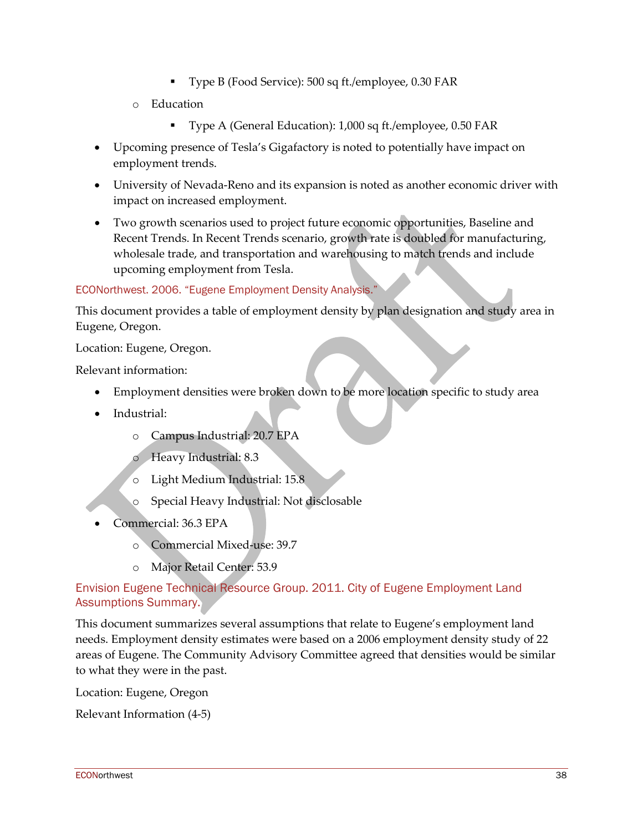- Type B (Food Service): 500 sq ft./employee, 0.30 FAR
- o Education
	- Type A (General Education): 1,000 sq ft./employee, 0.50 FAR
- Upcoming presence of Tesla's Gigafactory is noted to potentially have impact on employment trends.
- University of Nevada-Reno and its expansion is noted as another economic driver with impact on increased employment.
- Two growth scenarios used to project future economic opportunities, Baseline and Recent Trends. In Recent Trends scenario, growth rate is doubled for manufacturing, wholesale trade, and transportation and warehousing to match trends and include upcoming employment from Tesla.

#### ECONorthwest. 2006. "Eugene Employment Density Analysis."

This document provides a table of employment density by plan designation and study area in Eugene, Oregon.

Location: Eugene, Oregon.

Relevant information:

- Employment densities were broken down to be more location specific to study area
- Industrial:
	- o Campus Industrial: 20.7 EPA
	- o Heavy Industrial: 8.3
	- o Light Medium Industrial: 15.8
	- o Special Heavy Industrial: Not disclosable
- Commercial: 36.3 EPA
	- o Commercial Mixed-use: 39.7
	- o Major Retail Center: 53.9

### Envision Eugene Technical Resource Group. 2011. City of Eugene Employment Land Assumptions Summary.

This document summarizes several assumptions that relate to Eugene's employment land needs. Employment density estimates were based on a 2006 employment density study of 22 areas of Eugene. The Community Advisory Committee agreed that densities would be similar to what they were in the past.

Location: Eugene, Oregon

Relevant Information (4-5)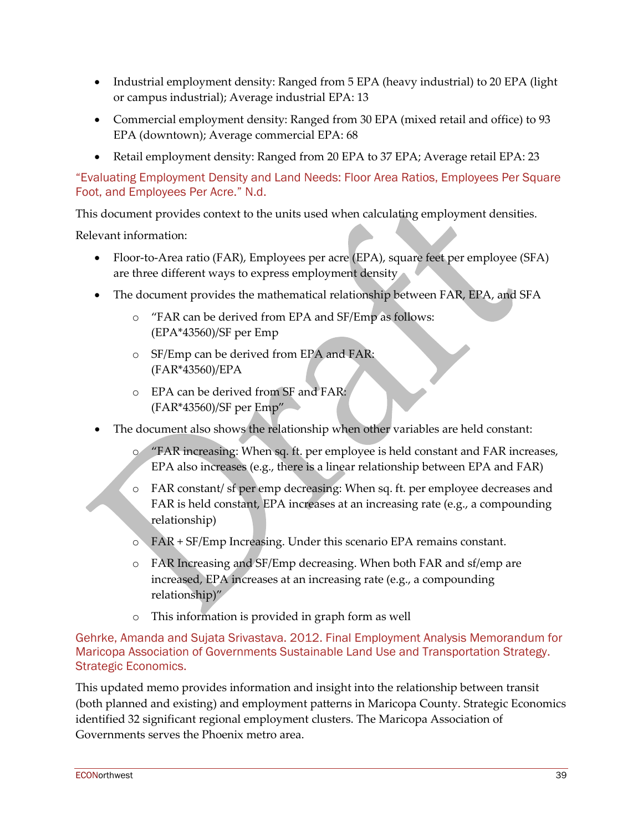- Industrial employment density: Ranged from 5 EPA (heavy industrial) to 20 EPA (light or campus industrial); Average industrial EPA: 13
- Commercial employment density: Ranged from 30 EPA (mixed retail and office) to 93 EPA (downtown); Average commercial EPA: 68
- Retail employment density: Ranged from 20 EPA to 37 EPA; Average retail EPA: 23

"Evaluating Employment Density and Land Needs: Floor Area Ratios, Employees Per Square Foot, and Employees Per Acre." N.d.

This document provides context to the units used when calculating employment densities.

Relevant information:

- Floor-to-Area ratio (FAR), Employees per acre (EPA), square feet per employee (SFA) are three different ways to express employment density
- The document provides the mathematical relationship between FAR, EPA, and SFA
	- o "FAR can be derived from EPA and SF/Emp as follows: (EPA\*43560)/SF per Emp
	- o SF/Emp can be derived from EPA and FAR: (FAR\*43560)/EPA
	- o EPA can be derived from SF and FAR: (FAR\*43560)/SF per Emp"
- The document also shows the relationship when other variables are held constant:
	- o "FAR increasing: When sq. ft. per employee is held constant and FAR increases, EPA also increases (e.g., there is a linear relationship between EPA and FAR)
	- o FAR constant/ sf per emp decreasing: When sq. ft. per employee decreases and FAR is held constant, EPA increases at an increasing rate (e.g., a compounding relationship)
	- o FAR + SF/Emp Increasing. Under this scenario EPA remains constant.
	- o FAR Increasing and SF/Emp decreasing. When both FAR and sf/emp are increased, EPA increases at an increasing rate (e.g., a compounding relationship)"
	- o This information is provided in graph form as well

Gehrke, Amanda and Sujata Srivastava. 2012. Final Employment Analysis Memorandum for Maricopa Association of Governments Sustainable Land Use and Transportation Strategy. Strategic Economics.

This updated memo provides information and insight into the relationship between transit (both planned and existing) and employment patterns in Maricopa County. Strategic Economics identified 32 significant regional employment clusters. The Maricopa Association of Governments serves the Phoenix metro area.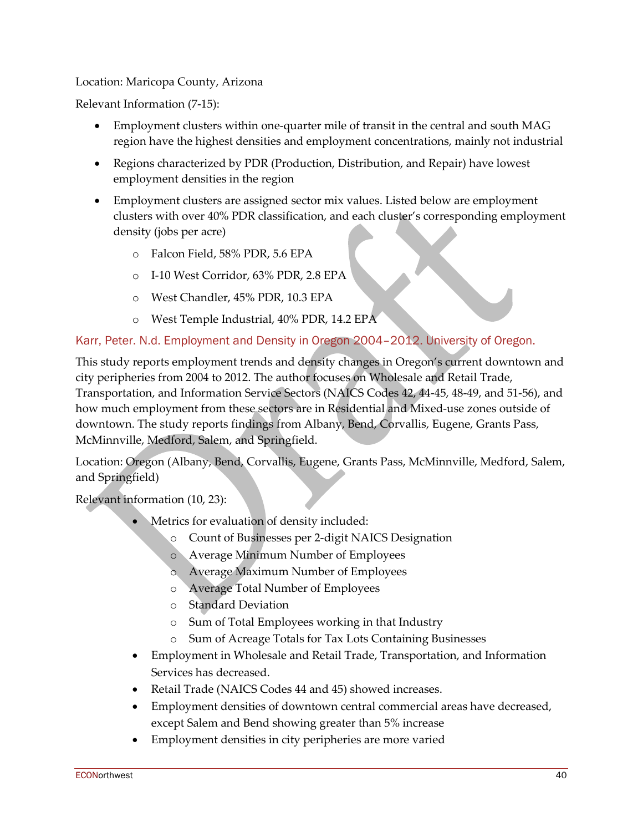### Location: Maricopa County, Arizona

Relevant Information (7-15):

- Employment clusters within one-quarter mile of transit in the central and south MAG region have the highest densities and employment concentrations, mainly not industrial
- Regions characterized by PDR (Production, Distribution, and Repair) have lowest employment densities in the region
- Employment clusters are assigned sector mix values. Listed below are employment clusters with over 40% PDR classification, and each cluster's corresponding employment density (jobs per acre)
	- o Falcon Field, 58% PDR, 5.6 EPA
	- o I-10 West Corridor, 63% PDR, 2.8 EPA
	- o West Chandler, 45% PDR, 10.3 EPA
	- o West Temple Industrial, 40% PDR, 14.2 EPA

### Karr, Peter. N.d. Employment and Density in Oregon 2004–2012. University of Oregon.

This study reports employment trends and density changes in Oregon's current downtown and city peripheries from 2004 to 2012. The author focuses on Wholesale and Retail Trade, Transportation, and Information Service Sectors (NAICS Codes 42, 44-45, 48-49, and 51-56), and how much employment from these sectors are in Residential and Mixed-use zones outside of downtown. The study reports findings from Albany, Bend, Corvallis, Eugene, Grants Pass, McMinnville, Medford, Salem, and Springfield.

Location: Oregon (Albany, Bend, Corvallis, Eugene, Grants Pass, McMinnville, Medford, Salem, and Springfield)

Relevant information (10, 23):

- Metrics for evaluation of density included:
	- o Count of Businesses per 2-digit NAICS Designation
	- o Average Minimum Number of Employees
	- o Average Maximum Number of Employees
	- o Average Total Number of Employees
	- o Standard Deviation
	- o Sum of Total Employees working in that Industry
	- o Sum of Acreage Totals for Tax Lots Containing Businesses
- Employment in Wholesale and Retail Trade, Transportation, and Information Services has decreased.
- Retail Trade (NAICS Codes 44 and 45) showed increases.
- Employment densities of downtown central commercial areas have decreased, except Salem and Bend showing greater than 5% increase
- Employment densities in city peripheries are more varied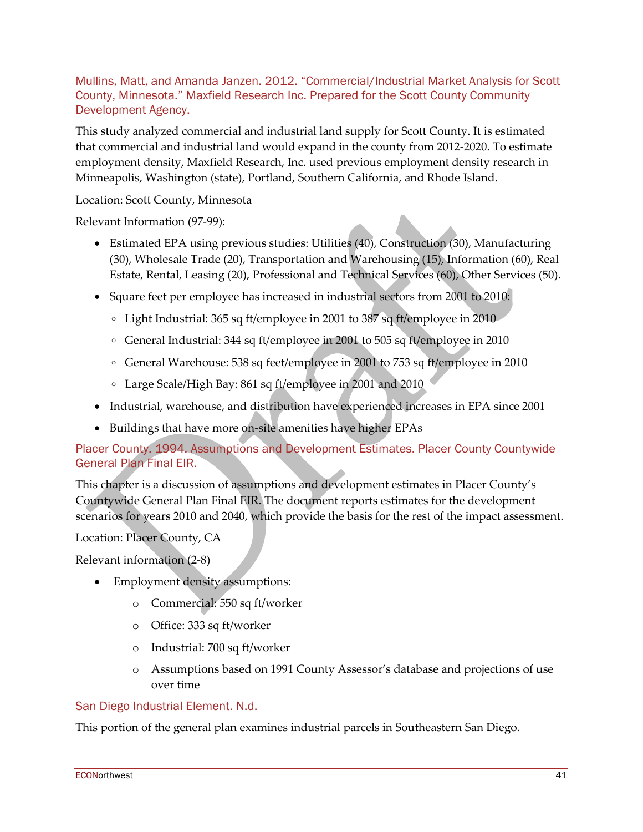Mullins, Matt, and Amanda Janzen. 2012. "Commercial/Industrial Market Analysis for Scott County, Minnesota." Maxfield Research Inc. Prepared for the Scott County Community Development Agency.

This study analyzed commercial and industrial land supply for Scott County. It is estimated that commercial and industrial land would expand in the county from 2012-2020. To estimate employment density, Maxfield Research, Inc. used previous employment density research in Minneapolis, Washington (state), Portland, Southern California, and Rhode Island.

Location: Scott County, Minnesota

Relevant Information (97-99):

- Estimated EPA using previous studies: Utilities (40), Construction (30), Manufacturing (30), Wholesale Trade (20), Transportation and Warehousing (15), Information (60), Real Estate, Rental, Leasing (20), Professional and Technical Services (60), Other Services (50).
- Square feet per employee has increased in industrial sectors from 2001 to 2010:
	- Light Industrial: 365 sq ft/employee in 2001 to 387 sq ft/employee in 2010
	- General Industrial: 344 sq ft/employee in 2001 to 505 sq ft/employee in 2010
	- General Warehouse: 538 sq feet/employee in 2001 to 753 sq ft/employee in 2010
	- Large Scale/High Bay: 861 sq ft/employee in 2001 and 2010
- Industrial, warehouse, and distribution have experienced increases in EPA since 2001
- Buildings that have more on-site amenities have higher EPAs

### Placer County. 1994. Assumptions and Development Estimates. Placer County Countywide General Plan Final EIR.

This chapter is a discussion of assumptions and development estimates in Placer County's Countywide General Plan Final EIR. The document reports estimates for the development scenarios for years 2010 and 2040, which provide the basis for the rest of the impact assessment.

Location: Placer County, CA

Relevant information (2-8)

- Employment density assumptions:
	- o Commercial: 550 sq ft/worker
	- o Office: 333 sq ft/worker
	- o Industrial: 700 sq ft/worker
	- o Assumptions based on 1991 County Assessor's database and projections of use over time

#### San Diego Industrial Element. N.d.

This portion of the general plan examines industrial parcels in Southeastern San Diego.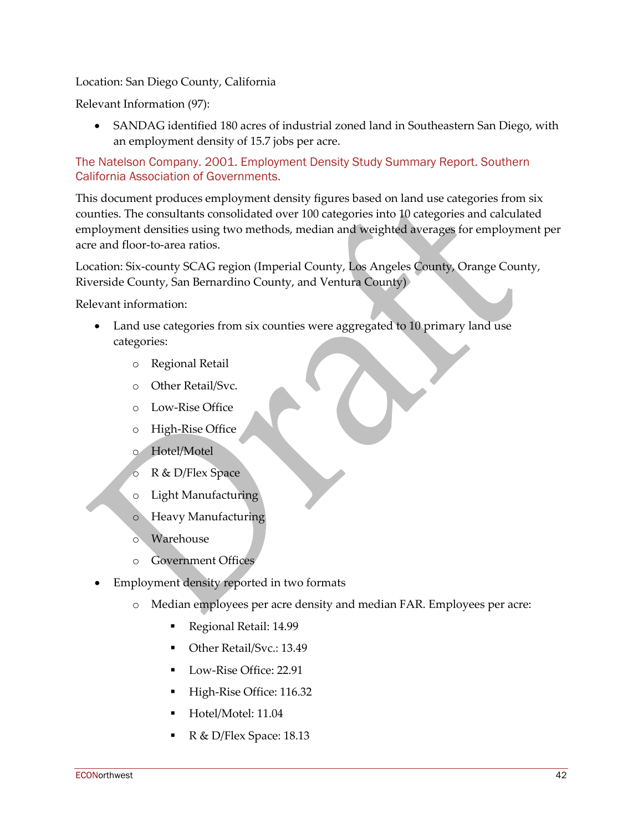Location: San Diego County, California

Relevant Information (97):

• SANDAG identified 180 acres of industrial zoned land in Southeastern San Diego, with an employment density of 15.7 jobs per acre.

### The Natelson Company. 2001. Employment Density Study Summary Report. Southern California Association of Governments.

This document produces employment density figures based on land use categories from six counties. The consultants consolidated over 100 categories into 10 categories and calculated employment densities using two methods, median and weighted averages for employment per acre and floor-to-area ratios.

Location: Six-county SCAG region (Imperial County, Los Angeles County, Orange County, Riverside County, San Bernardino County, and Ventura County)

Relevant information:

- Land use categories from six counties were aggregated to 10 primary land use categories:
	- o Regional Retail
	- o Other Retail/Svc.
	- o Low-Rise Office
	- o High-Rise Office
	- o Hotel/Motel
	- o R & D/Flex Space
	- o Light Manufacturing
	- o Heavy Manufacturing
	- o Warehouse
	- o Government Offices
- Employment density reported in two formats
	- o Median employees per acre density and median FAR. Employees per acre:
		- Regional Retail: 14.99
		- Other Retail/Svc.: 13.49
		- Low-Rise Office: 22.91
		- High-Rise Office: 116.32
		- Hotel/Motel: 11.04
		- R & D/Flex Space: 18.13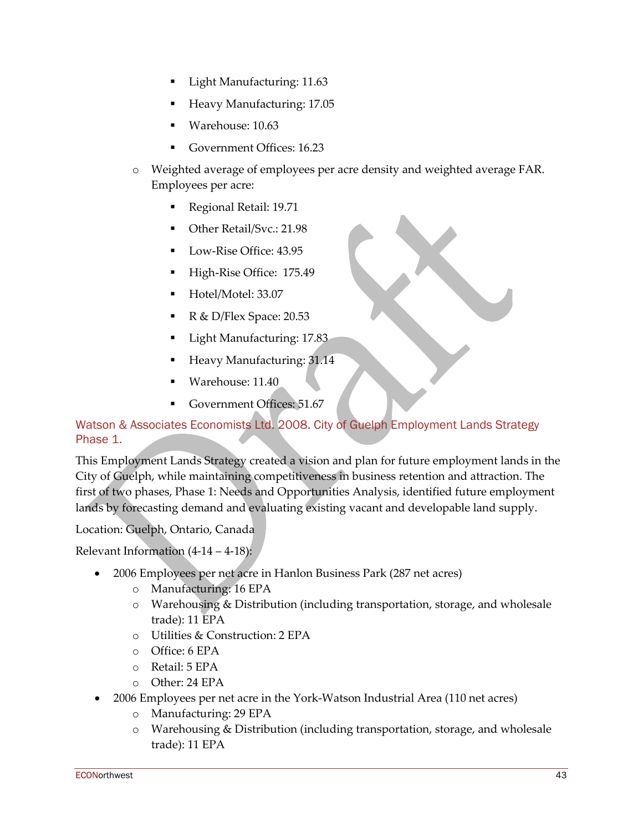- Light Manufacturing: 11.63
- Heavy Manufacturing: 17.05
- Warehouse: 10.63
- Government Offices: 16.23
- o Weighted average of employees per acre density and weighted average FAR. Employees per acre:
	- Regional Retail: 19.71
	- Other Retail/Svc.: 21.98
	- **Low-Rise Office: 43.95**
	- High-Rise Office: 175.49
	- Hotel/Motel: 33.07
	- R & D/Flex Space: 20.53
	- Light Manufacturing: 17.83
	- Heavy Manufacturing: 31.14
	- Warehouse: 11.40
	- Government Offices: 51.67

### Watson & Associates Economists Ltd. 2008. City of Guelph Employment Lands Strategy Phase 1.

This Employment Lands Strategy created a vision and plan for future employment lands in the City of Guelph, while maintaining competitiveness in business retention and attraction. The first of two phases, Phase 1: Needs and Opportunities Analysis, identified future employment lands by forecasting demand and evaluating existing vacant and developable land supply.

### Location: Guelph, Ontario, Canada

Relevant Information  $(4-14-4-18)$ :

- 2006 Employees per net acre in Hanlon Business Park (287 net acres)
	- o Manufacturing: 16 EPA
	- o Warehousing & Distribution (including transportation, storage, and wholesale trade): 11 EPA
	- o Utilities & Construction: 2 EPA
	- o Office: 6 EPA
	- o Retail: 5 EPA
	- o Other: 24 EPA
- 2006 Employees per net acre in the York-Watson Industrial Area (110 net acres)
	- o Manufacturing: 29 EPA
	- $\circ$  Warehousing & Distribution (including transportation, storage, and wholesale trade): 11 EPA